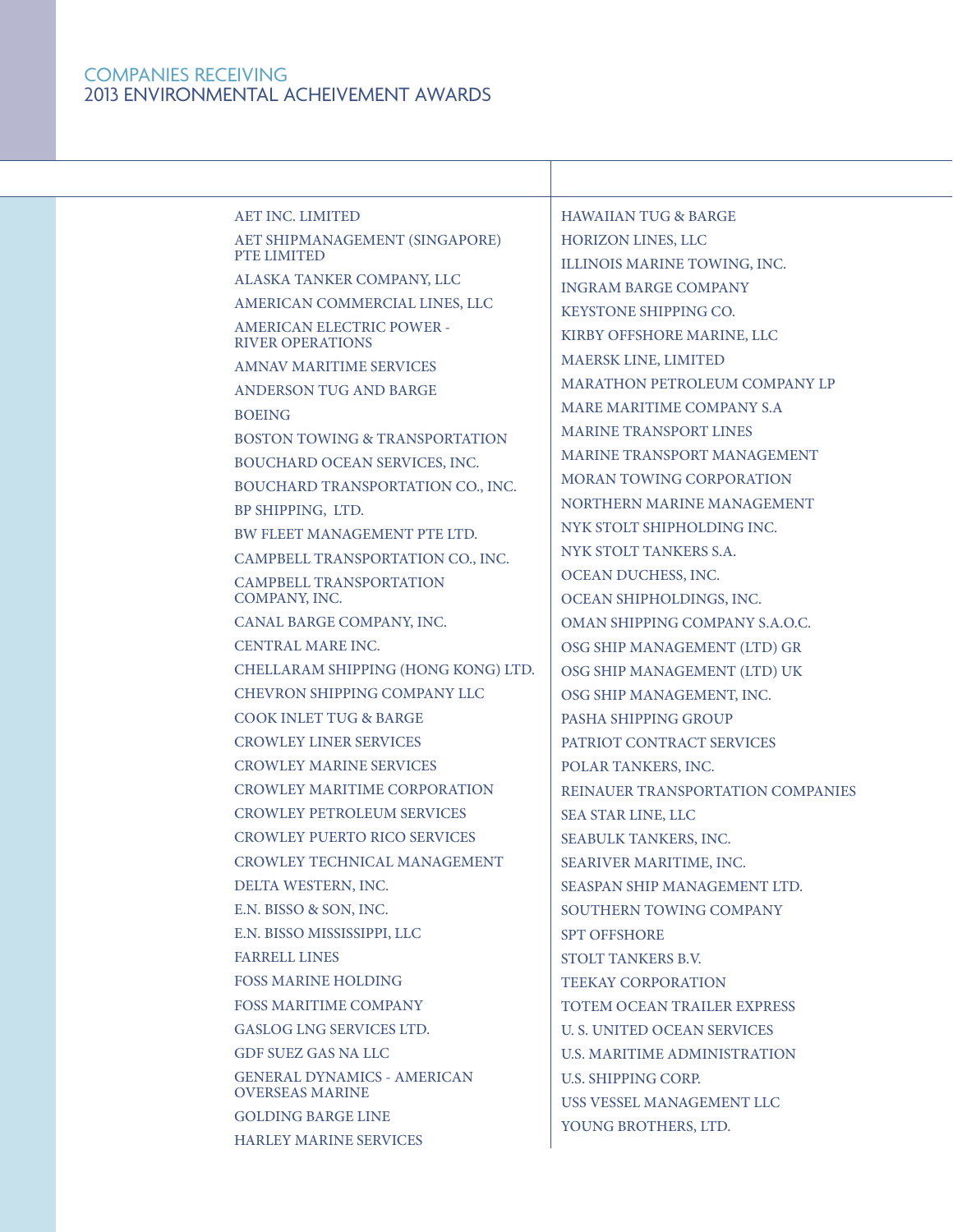| <b>AET INC. LIMITED</b>                                      | <b>HAWAIIAN TUG &amp; BARGE</b>      |
|--------------------------------------------------------------|--------------------------------------|
| AET SHIPMANAGEMENT (SINGAPORE)                               | HORIZON LINES, LLC                   |
| <b>PTE LIMITED</b>                                           | ILLINOIS MARINE TOWING, INC.         |
| ALASKA TANKER COMPANY, LLC                                   | <b>INGRAM BARGE COMPANY</b>          |
| AMERICAN COMMERCIAL LINES, LLC                               | <b>KEYSTONE SHIPPING CO.</b>         |
| AMERICAN ELECTRIC POWER -<br><b>RIVER OPERATIONS</b>         | KIRBY OFFSHORE MARINE, LLC           |
| <b>AMNAV MARITIME SERVICES</b>                               | MAERSK LINE, LIMITED                 |
| <b>ANDERSON TUG AND BARGE</b>                                | <b>MARATHON PETROLEUM COMPANY LP</b> |
| <b>BOEING</b>                                                | <b>MARE MARITIME COMPANY S.A.</b>    |
| <b>BOSTON TOWING &amp; TRANSPORTATION</b>                    | <b>MARINE TRANSPORT LINES</b>        |
| <b>BOUCHARD OCEAN SERVICES, INC.</b>                         | MARINE TRANSPORT MANAGEMENT          |
| BOUCHARD TRANSPORTATION CO., INC.                            | <b>MORAN TOWING CORPORATION</b>      |
| BP SHIPPING, LTD.                                            | NORTHERN MARINE MANAGEMENT           |
| BW FLEET MANAGEMENT PTE LTD.                                 | NYK STOLT SHIPHOLDING INC.           |
| CAMPBELL TRANSPORTATION CO., INC.                            | NYK STOLT TANKERS S.A.               |
| <b>CAMPBELL TRANSPORTATION</b>                               | OCEAN DUCHESS, INC.                  |
| COMPANY, INC.                                                | OCEAN SHIPHOLDINGS, INC.             |
| CANAL BARGE COMPANY, INC.                                    | OMAN SHIPPING COMPANY S.A.O.C.       |
| <b>CENTRAL MARE INC.</b>                                     | OSG SHIP MANAGEMENT (LTD) GR         |
| CHELLARAM SHIPPING (HONG KONG) LTD.                          | OSG SHIP MANAGEMENT (LTD) UK         |
| CHEVRON SHIPPING COMPANY LLC                                 | OSG SHIP MANAGEMENT, INC.            |
| <b>COOK INLET TUG &amp; BARGE</b>                            | PASHA SHIPPING GROUP                 |
| <b>CROWLEY LINER SERVICES</b>                                | PATRIOT CONTRACT SERVICES            |
| <b>CROWLEY MARINE SERVICES</b>                               | POLAR TANKERS, INC.                  |
| <b>CROWLEY MARITIME CORPORATION</b>                          | REINAUER TRANSPORTATION COMPANIES    |
| <b>CROWLEY PETROLEUM SERVICES</b>                            | <b>SEA STAR LINE, LLC</b>            |
| <b>CROWLEY PUERTO RICO SERVICES</b>                          | SEABULK TANKERS, INC.                |
| <b>CROWLEY TECHNICAL MANAGEMENT</b>                          | SEARIVER MARITIME, INC.              |
| DELTA WESTERN, INC.                                          | SEASPAN SHIP MANAGEMENT LTD.         |
| E.N. BISSO & SON, INC.                                       | <b>SOUTHERN TOWING COMPANY</b>       |
| E.N. BISSO MISSISSIPPI, LLC                                  | <b>SPT OFFSHORE</b>                  |
| <b>FARRELL LINES</b>                                         | <b>STOLT TANKERS B.V.</b>            |
| <b>FOSS MARINE HOLDING</b>                                   | <b>TEEKAY CORPORATION</b>            |
| <b>FOSS MARITIME COMPANY</b>                                 | <b>TOTEM OCEAN TRAILER EXPRESS</b>   |
| <b>GASLOG LNG SERVICES LTD.</b>                              | U. S. UNITED OCEAN SERVICES          |
| <b>GDF SUEZ GAS NA LLC</b>                                   | <b>U.S. MARITIME ADMINISTRATION</b>  |
| <b>GENERAL DYNAMICS - AMERICAN</b><br><b>OVERSEAS MARINE</b> | U.S. SHIPPING CORP.                  |
| <b>GOLDING BARGE LINE</b>                                    | USS VESSEL MANAGEMENT LLC            |
| <b>HARLEY MARINE SERVICES</b>                                | YOUNG BROTHERS, LTD.                 |
|                                                              |                                      |

 $\overline{\phantom{a}}$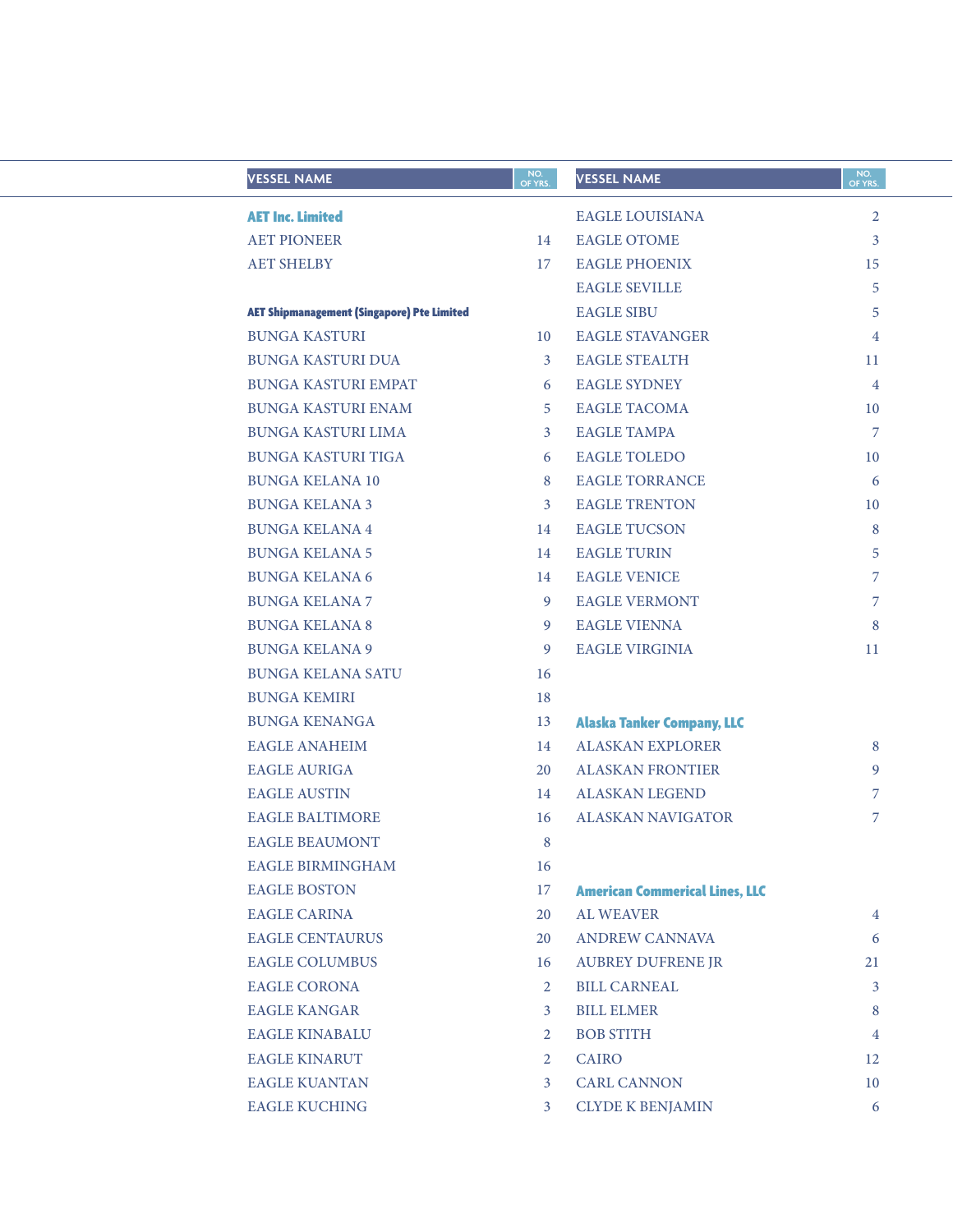| <b>VESSEL NAME</b>                                | NO.<br>OF YRS. | <b>VESSEL NAME</b>                    | NO.<br>OF YRS. |
|---------------------------------------------------|----------------|---------------------------------------|----------------|
| <b>AET Inc. Limited</b>                           |                | <b>EAGLE LOUISIANA</b>                | $\overline{2}$ |
| <b>AET PIONEER</b>                                | 14             | <b>EAGLE OTOME</b>                    | 3              |
| <b>AET SHELBY</b>                                 | 17             | <b>EAGLE PHOENIX</b>                  | 15             |
|                                                   |                | <b>EAGLE SEVILLE</b>                  | 5              |
| <b>AET Shipmanagement (Singapore) Pte Limited</b> |                | <b>EAGLE SIBU</b>                     | 5              |
| <b>BUNGA KASTURI</b>                              | 10             | <b>EAGLE STAVANGER</b>                | $\overline{4}$ |
| <b>BUNGA KASTURI DUA</b>                          | 3              | <b>EAGLE STEALTH</b>                  | 11             |
| <b>BUNGA KASTURI EMPAT</b>                        | 6              | <b>EAGLE SYDNEY</b>                   | $\overline{4}$ |
| <b>BUNGA KASTURI ENAM</b>                         | 5              | <b>EAGLE TACOMA</b>                   | 10             |
| <b>BUNGA KASTURI LIMA</b>                         | 3              | <b>EAGLE TAMPA</b>                    | $\overline{7}$ |
| <b>BUNGA KASTURI TIGA</b>                         | 6              | <b>EAGLE TOLEDO</b>                   | 10             |
| <b>BUNGA KELANA 10</b>                            | 8              | <b>EAGLE TORRANCE</b>                 | 6              |
| <b>BUNGA KELANA 3</b>                             | 3              | <b>EAGLE TRENTON</b>                  | 10             |
| <b>BUNGA KELANA 4</b>                             | 14             | <b>EAGLE TUCSON</b>                   | 8              |
| <b>BUNGA KELANA 5</b>                             | 14             | <b>EAGLE TURIN</b>                    | 5              |
| <b>BUNGA KELANA 6</b>                             | 14             | <b>EAGLE VENICE</b>                   | 7              |
| <b>BUNGA KELANA 7</b>                             | 9              | <b>EAGLE VERMONT</b>                  | 7              |
| <b>BUNGA KELANA 8</b>                             | 9              | <b>EAGLE VIENNA</b>                   | 8              |
| <b>BUNGA KELANA 9</b>                             | 9              | <b>EAGLE VIRGINIA</b>                 | 11             |
| <b>BUNGA KELANA SATU</b>                          | 16             |                                       |                |
| <b>BUNGA KEMIRI</b>                               | 18             |                                       |                |
| <b>BUNGA KENANGA</b>                              | 13             | <b>Alaska Tanker Company, LLC</b>     |                |
| <b>EAGLE ANAHEIM</b>                              | 14             | <b>ALASKAN EXPLORER</b>               | 8              |
| <b>EAGLE AURIGA</b>                               | 20             | <b>ALASKAN FRONTIER</b>               | 9              |
| <b>EAGLE AUSTIN</b>                               | 14             | <b>ALASKAN LEGEND</b>                 | 7              |
| <b>EAGLE BALTIMORE</b>                            | 16             | <b>ALASKAN NAVIGATOR</b>              | $\overline{7}$ |
| <b>EAGLE BEAUMONT</b>                             | 8              |                                       |                |
| <b>EAGLE BIRMINGHAM</b>                           | 16             |                                       |                |
| <b>EAGLE BOSTON</b>                               | 17             | <b>American Commerical Lines, LLC</b> |                |
| <b>EAGLE CARINA</b>                               | 20             | <b>AL WEAVER</b>                      | $\overline{4}$ |
| <b>EAGLE CENTAURUS</b>                            | 20             | <b>ANDREW CANNAVA</b>                 | 6              |
| <b>EAGLE COLUMBUS</b>                             | 16             | <b>AUBREY DUFRENE JR</b>              | 21             |
| <b>EAGLE CORONA</b>                               | $\overline{2}$ | <b>BILL CARNEAL</b>                   | 3              |
| <b>EAGLE KANGAR</b>                               | 3              | <b>BILL ELMER</b>                     | 8              |
| <b>EAGLE KINABALU</b>                             | $\overline{2}$ | <b>BOB STITH</b>                      | $\overline{4}$ |
| <b>EAGLE KINARUT</b>                              | $\overline{2}$ | <b>CAIRO</b>                          | 12             |
| <b>EAGLE KUANTAN</b>                              | 3 <sup>1</sup> | <b>CARL CANNON</b>                    | 10             |
| <b>EAGLE KUCHING</b>                              | 3 <sup>1</sup> | <b>CLYDE K BENJAMIN</b>               | 6              |
|                                                   |                |                                       |                |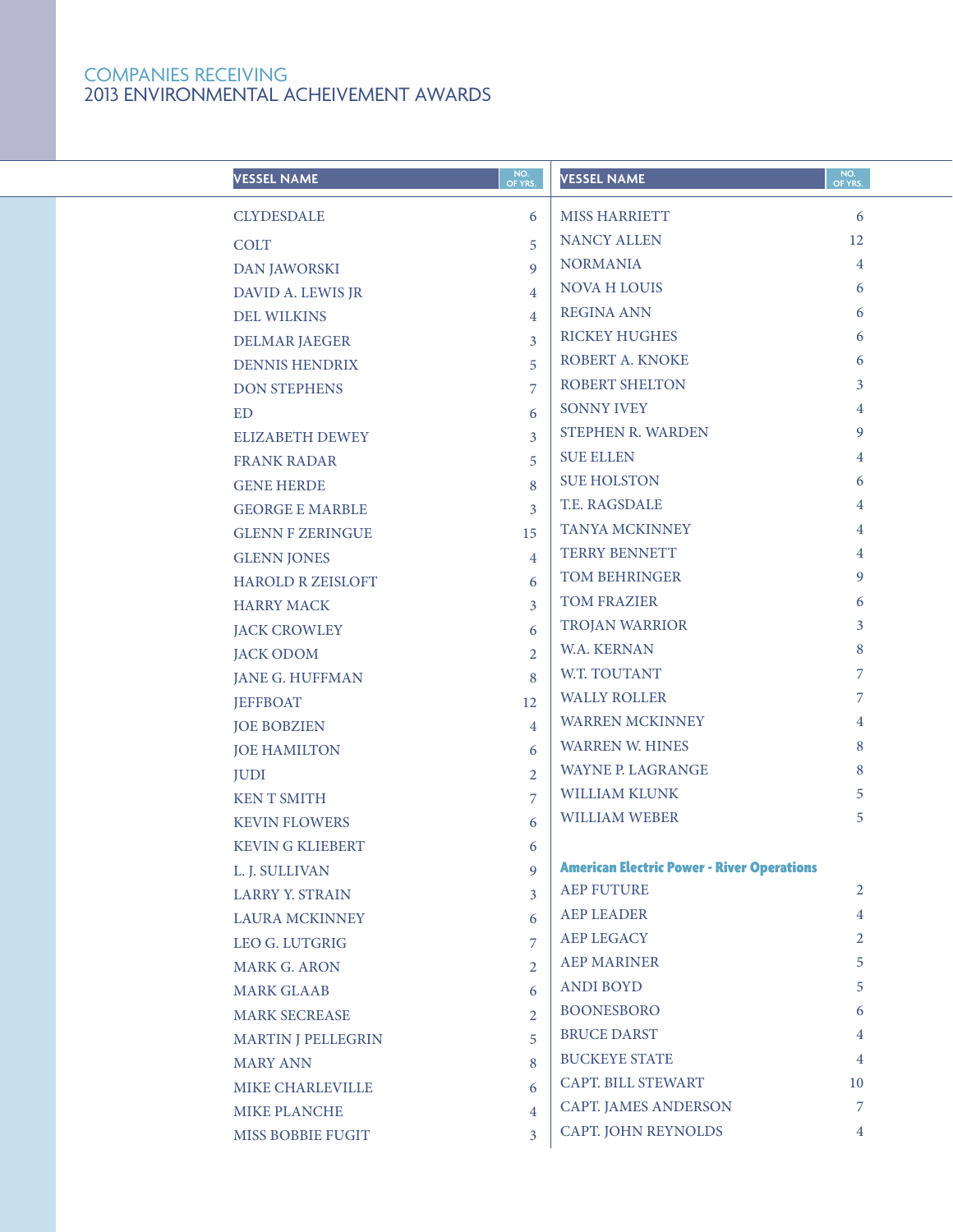| <b>VESSEL NAME</b>        | NO.<br>OF YRS. | <b>VESSEL NAME</b>                                | NO.<br>OF YRS. |
|---------------------------|----------------|---------------------------------------------------|----------------|
| <b>CLYDESDALE</b>         | 6              | MISS HARRIETT                                     | 6              |
| <b>COLT</b>               | 5              | <b>NANCY ALLEN</b>                                | 12             |
| <b>DAN JAWORSKI</b>       | 9              | <b>NORMANIA</b>                                   | 4              |
| DAVID A. LEWIS JR         | $\overline{4}$ | <b>NOVA H LOUIS</b>                               | 6              |
| <b>DEL WILKINS</b>        | $\overline{4}$ | <b>REGINA ANN</b>                                 | 6              |
| <b>DELMAR JAEGER</b>      | $\overline{3}$ | <b>RICKEY HUGHES</b>                              | 6              |
| <b>DENNIS HENDRIX</b>     | 5              | ROBERT A. KNOKE                                   | 6              |
| <b>DON STEPHENS</b>       | 7              | <b>ROBERT SHELTON</b>                             | 3              |
| <b>ED</b>                 | 6              | <b>SONNY IVEY</b>                                 | 4              |
| <b>ELIZABETH DEWEY</b>    | 3              | <b>STEPHEN R. WARDEN</b>                          | 9              |
| <b>FRANK RADAR</b>        | 5              | <b>SUE ELLEN</b>                                  | 4              |
| <b>GENE HERDE</b>         | 8              | <b>SUE HOLSTON</b>                                | 6              |
| <b>GEORGE E MARBLE</b>    | 3              | T.E. RAGSDALE                                     | 4              |
| <b>GLENN F ZERINGUE</b>   | 15             | <b>TANYA MCKINNEY</b>                             | 4              |
| <b>GLENN JONES</b>        | $\overline{4}$ | <b>TERRY BENNETT</b>                              | 4              |
| <b>HAROLD R ZEISLOFT</b>  | 6              | <b>TOM BEHRINGER</b>                              | 9              |
| <b>HARRY MACK</b>         | 3              | <b>TOM FRAZIER</b>                                | 6              |
| <b>JACK CROWLEY</b>       | 6              | <b>TROJAN WARRIOR</b>                             | 3              |
| <b>JACK ODOM</b>          | $\overline{2}$ | <b>W.A. KERNAN</b>                                | 8              |
| <b>JANE G. HUFFMAN</b>    | 8              | W.T. TOUTANT                                      | 7              |
| <b>JEFFBOAT</b>           | 12             | <b>WALLY ROLLER</b>                               | 7              |
| <b>JOE BOBZIEN</b>        | $\overline{4}$ | <b>WARREN MCKINNEY</b>                            | 4              |
| <b>JOE HAMILTON</b>       | 6              | <b>WARREN W. HINES</b>                            | 8              |
| <b>JUDI</b>               | $\overline{2}$ | <b>WAYNE P. LAGRANGE</b>                          | 8              |
| <b>KEN T SMITH</b>        | $\overline{7}$ | <b>WILLIAM KLUNK</b>                              | 5              |
| <b>KEVIN FLOWERS</b>      | 6              | <b>WILLIAM WEBER</b>                              | 5              |
| <b>KEVIN G KLIEBERT</b>   | 6              |                                                   |                |
| L. J. SULLIVAN            | 9              | <b>American Electric Power - River Operations</b> |                |
| <b>LARRY Y. STRAIN</b>    | $\mathbf{3}$   | <b>AEP FUTURE</b>                                 | $\overline{2}$ |
| <b>LAURA MCKINNEY</b>     | 6              | <b>AEP LEADER</b>                                 | 4              |
| <b>LEO G. LUTGRIG</b>     | 7              | <b>AEP LEGACY</b>                                 | 2              |
| <b>MARK G. ARON</b>       | $\overline{2}$ | <b>AEP MARINER</b>                                | 5              |
| <b>MARK GLAAB</b>         | 6              | <b>ANDI BOYD</b>                                  | 5              |
| <b>MARK SECREASE</b>      | $\overline{2}$ | <b>BOONESBORO</b>                                 | 6              |
| <b>MARTIN J PELLEGRIN</b> | 5              | <b>BRUCE DARST</b>                                | 4              |
| <b>MARY ANN</b>           | 8              | <b>BUCKEYE STATE</b>                              | 4              |
| MIKE CHARLEVILLE          | 6              | CAPT. BILL STEWART                                | 10             |
| <b>MIKE PLANCHE</b>       | $\overline{4}$ | <b>CAPT. JAMES ANDERSON</b>                       | 7              |
| MISS BOBBIE FUGIT         | 3              | CAPT. JOHN REYNOLDS                               | 4              |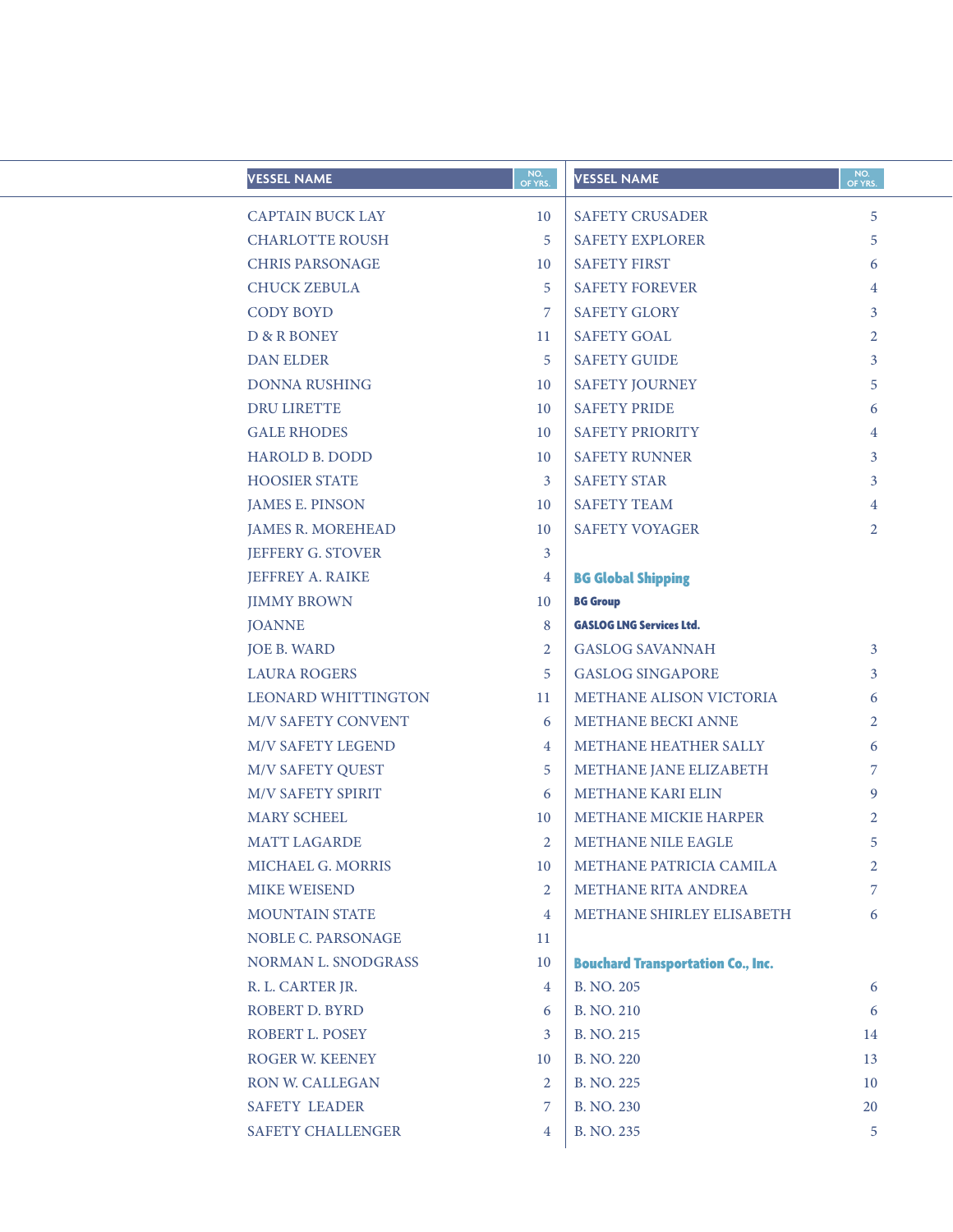| <b>VESSEL NAME</b>         | NO.<br>OF YRS. | <b>VESSEL NAME</b>                       | NO.<br>OF YRS. |
|----------------------------|----------------|------------------------------------------|----------------|
| <b>CAPTAIN BUCK LAY</b>    | 10             | <b>SAFETY CRUSADER</b>                   | 5              |
| <b>CHARLOTTE ROUSH</b>     | 5              | <b>SAFETY EXPLORER</b>                   | 5              |
| <b>CHRIS PARSONAGE</b>     | 10             | <b>SAFETY FIRST</b>                      | 6              |
| <b>CHUCK ZEBULA</b>        | 5              | <b>SAFETY FOREVER</b>                    | $\overline{4}$ |
| <b>CODY BOYD</b>           | 7              | <b>SAFETY GLORY</b>                      | 3              |
| D & R BONEY                | 11             | <b>SAFETY GOAL</b>                       | $\overline{2}$ |
| <b>DAN ELDER</b>           | 5              | <b>SAFETY GUIDE</b>                      | 3              |
| <b>DONNA RUSHING</b>       | 10             | <b>SAFETY JOURNEY</b>                    | 5              |
| <b>DRU LIRETTE</b>         | 10             | <b>SAFETY PRIDE</b>                      | 6              |
| <b>GALE RHODES</b>         | 10             | <b>SAFETY PRIORITY</b>                   | $\overline{4}$ |
| <b>HAROLD B. DODD</b>      | 10             | <b>SAFETY RUNNER</b>                     | 3              |
| <b>HOOSIER STATE</b>       | 3              | <b>SAFETY STAR</b>                       | 3              |
| <b>JAMES E. PINSON</b>     | 10             | <b>SAFETY TEAM</b>                       | $\overline{4}$ |
| <b>JAMES R. MOREHEAD</b>   | 10             | <b>SAFETY VOYAGER</b>                    | $\overline{2}$ |
| <b>JEFFERY G. STOVER</b>   | 3              |                                          |                |
| <b>JEFFREY A. RAIKE</b>    | $\overline{4}$ | <b>BG Global Shipping</b>                |                |
| <b>JIMMY BROWN</b>         | 10             | <b>BG Group</b>                          |                |
| <b>JOANNE</b>              | 8              | <b>GASLOG LNG Services Ltd.</b>          |                |
| <b>JOE B. WARD</b>         | 2              | <b>GASLOG SAVANNAH</b>                   | 3              |
| <b>LAURA ROGERS</b>        | 5              | <b>GASLOG SINGAPORE</b>                  | 3              |
| <b>LEONARD WHITTINGTON</b> | 11             | METHANE ALISON VICTORIA                  | 6              |
| M/V SAFETY CONVENT         | 6              | METHANE BECKI ANNE                       | $\overline{2}$ |
| M/V SAFETY LEGEND          | 4              | METHANE HEATHER SALLY                    | 6              |
| M/V SAFETY QUEST           | 5              | METHANE JANE ELIZABETH                   | 7              |
| M/V SAFETY SPIRIT          | 6              | <b>METHANE KARI ELIN</b>                 | 9              |
| <b>MARY SCHEEL</b>         | 10             | <b>METHANE MICKIE HARPER</b>             | 2              |
| <b>MATT LAGARDE</b>        | 2              | METHANE NILE EAGLE                       | 5              |
| MICHAEL G. MORRIS          | 10             | METHANE PATRICIA CAMILA                  | 2              |
| <b>MIKE WEISEND</b>        | 2              | METHANE RITA ANDREA                      | 7              |
| <b>MOUNTAIN STATE</b>      | 4              | METHANE SHIRLEY ELISABETH                | 6              |
| NOBLE C. PARSONAGE         | 11             |                                          |                |
| NORMAN L. SNODGRASS        | 10             | <b>Bouchard Transportation Co., Inc.</b> |                |
| R. L. CARTER JR.           | 4              | B. NO. 205                               | 6              |
| ROBERT D. BYRD             | 6              | <b>B. NO. 210</b>                        | 6              |
| ROBERT L. POSEY            | 3              | B. NO. 215                               | 14             |
| ROGER W. KEENEY            | 10             | B. NO. 220                               | 13             |
| RON W. CALLEGAN            | 2              | B. NO. 225                               | 10             |
| <b>SAFETY LEADER</b>       | 7              | B. NO. 230                               | 20             |
| <b>SAFETY CHALLENGER</b>   | 4              | B. NO. 235                               | 5              |
|                            |                |                                          |                |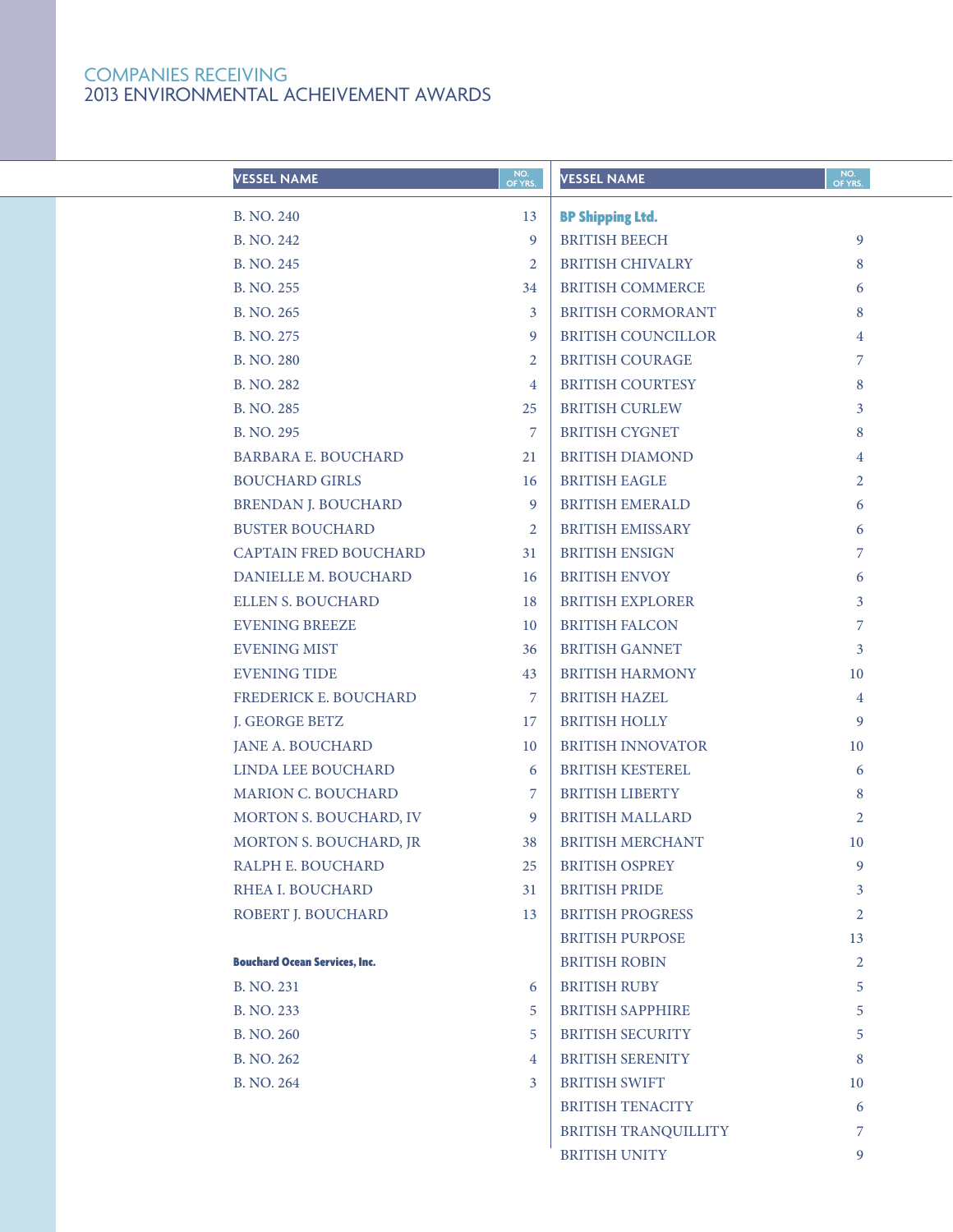| <b>VESSEL NAME</b>                   | NO.<br>OF YRS. | <b>VESSEL NAME</b>          | NO.<br>OF YRS. |
|--------------------------------------|----------------|-----------------------------|----------------|
| B. NO. 240                           | 13             | <b>BP Shipping Ltd.</b>     |                |
| B. NO. 242                           | 9              | <b>BRITISH BEECH</b>        | 9              |
| B. NO. 245                           | 2              | <b>BRITISH CHIVALRY</b>     | 8              |
| B. NO. 255                           | 34             | <b>BRITISH COMMERCE</b>     | 6              |
| B. NO. 265                           | 3              | <b>BRITISH CORMORANT</b>    | 8              |
| B. NO. 275                           | 9              | <b>BRITISH COUNCILLOR</b>   | 4              |
| <b>B. NO. 280</b>                    | 2              | <b>BRITISH COURAGE</b>      | 7              |
| B. NO. 282                           | 4              | <b>BRITISH COURTESY</b>     | 8              |
| B. NO. 285                           | 25             | <b>BRITISH CURLEW</b>       | 3              |
| B. NO. 295                           | 7              | <b>BRITISH CYGNET</b>       | 8              |
| <b>BARBARA E. BOUCHARD</b>           | 21             | <b>BRITISH DIAMOND</b>      | 4              |
| <b>BOUCHARD GIRLS</b>                | 16             | <b>BRITISH EAGLE</b>        | $\overline{2}$ |
| <b>BRENDAN J. BOUCHARD</b>           | 9              | <b>BRITISH EMERALD</b>      | 6              |
| <b>BUSTER BOUCHARD</b>               | 2              | <b>BRITISH EMISSARY</b>     | 6              |
| <b>CAPTAIN FRED BOUCHARD</b>         | 31             | <b>BRITISH ENSIGN</b>       | 7              |
| DANIELLE M. BOUCHARD                 | 16             | <b>BRITISH ENVOY</b>        | 6              |
| <b>ELLEN S. BOUCHARD</b>             | 18             | <b>BRITISH EXPLORER</b>     | 3              |
| <b>EVENING BREEZE</b>                | 10             | <b>BRITISH FALCON</b>       | 7              |
| <b>EVENING MIST</b>                  | 36             | <b>BRITISH GANNET</b>       | 3              |
| <b>EVENING TIDE</b>                  | 43             | <b>BRITISH HARMONY</b>      | 10             |
| FREDERICK E. BOUCHARD                | 7              | <b>BRITISH HAZEL</b>        | $\overline{4}$ |
| J. GEORGE BETZ                       | 17             | <b>BRITISH HOLLY</b>        | 9              |
| <b>JANE A. BOUCHARD</b>              | 10             | <b>BRITISH INNOVATOR</b>    | 10             |
| LINDA LEE BOUCHARD                   | 6              | <b>BRITISH KESTEREL</b>     | 6              |
| <b>MARION C. BOUCHARD</b>            | 7              | <b>BRITISH LIBERTY</b>      | 8              |
| MORTON S. BOUCHARD, IV               | 9              | <b>BRITISH MALLARD</b>      | 2              |
| MORTON S. BOUCHARD, JR               | 38             | <b>BRITISH MERCHANT</b>     | 10             |
| RALPH E. BOUCHARD                    | 25             | <b>BRITISH OSPREY</b>       | 9              |
| RHEA I. BOUCHARD                     | 31             | <b>BRITISH PRIDE</b>        | 3              |
| ROBERT J. BOUCHARD                   | 13             | <b>BRITISH PROGRESS</b>     | $\overline{2}$ |
|                                      |                | <b>BRITISH PURPOSE</b>      | 13             |
| <b>Bouchard Ocean Services, Inc.</b> |                | <b>BRITISH ROBIN</b>        | 2              |
| B. NO. 231                           | 6              | <b>BRITISH RUBY</b>         | 5              |
| B. NO. 233                           | 5              | <b>BRITISH SAPPHIRE</b>     | 5              |
| B. NO. 260                           | 5              | <b>BRITISH SECURITY</b>     | 5              |
| B. NO. 262                           | 4              | <b>BRITISH SERENITY</b>     | 8              |
| B. NO. 264                           | 3              | <b>BRITISH SWIFT</b>        | 10             |
|                                      |                | <b>BRITISH TENACITY</b>     | 6              |
|                                      |                | <b>BRITISH TRANQUILLITY</b> | 7              |
|                                      |                | <b>BRITISH UNITY</b>        | 9              |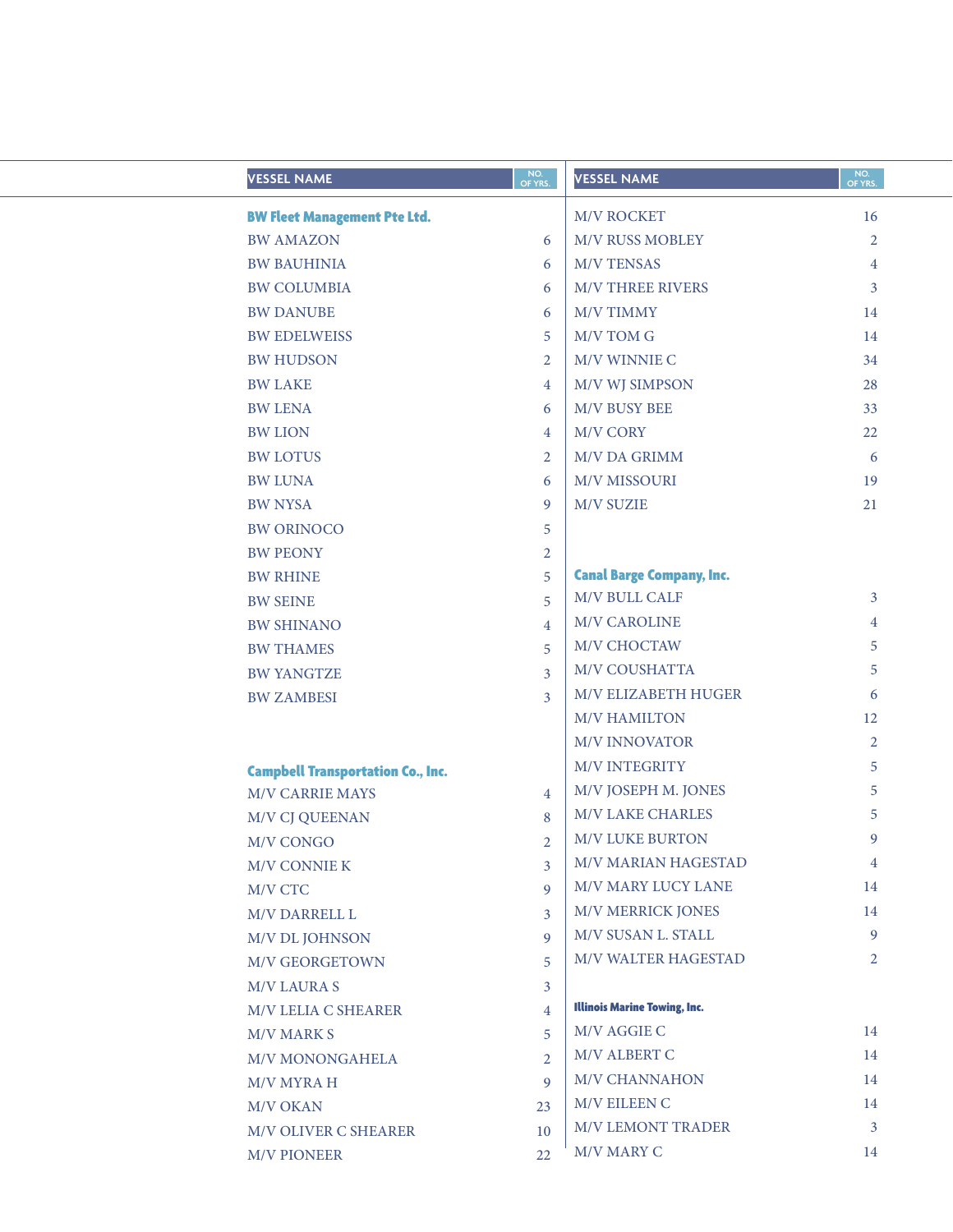| <b>VESSEL NAME</b>                       | NO.<br>OF YRS. | <b>VESSEL NAME</b>                  | NO.<br>OF YRS. |
|------------------------------------------|----------------|-------------------------------------|----------------|
| <b>BW Fleet Management Pte Ltd.</b>      |                | <b>M/V ROCKET</b>                   | 16             |
| <b>BW AMAZON</b>                         | 6              | <b>M/V RUSS MOBLEY</b>              | $\overline{2}$ |
| <b>BW BAUHINIA</b>                       | 6              | <b>M/V TENSAS</b>                   | $\overline{4}$ |
| <b>BW COLUMBIA</b>                       | 6              | <b>M/V THREE RIVERS</b>             | 3              |
| <b>BW DANUBE</b>                         | 6              | <b>M/V TIMMY</b>                    | 14             |
| <b>BW EDELWEISS</b>                      | 5              | M/V TOM G                           | 14             |
| <b>BW HUDSON</b>                         | 2              | M/V WINNIE C                        | 34             |
| <b>BW LAKE</b>                           | $\overline{4}$ | M/V WJ SIMPSON                      | 28             |
| <b>BW LENA</b>                           | 6              | <b>M/V BUSY BEE</b>                 | 33             |
| <b>BW LION</b>                           | 4              | <b>M/V CORY</b>                     | 22             |
| <b>BW LOTUS</b>                          | 2              | M/V DA GRIMM                        | 6              |
| <b>BW LUNA</b>                           | 6              | <b>M/V MISSOURI</b>                 | 19             |
| <b>BW NYSA</b>                           | 9              | <b>M/V SUZIE</b>                    | 21             |
| <b>BW ORINOCO</b>                        | 5              |                                     |                |
| <b>BW PEONY</b>                          | $\overline{2}$ |                                     |                |
| <b>BW RHINE</b>                          | 5              | <b>Canal Barge Company, Inc.</b>    |                |
| <b>BW SEINE</b>                          | 5              | M/V BULL CALF                       | $\overline{3}$ |
| <b>BW SHINANO</b>                        | $\overline{4}$ | <b>M/V CAROLINE</b>                 | 4              |
| <b>BW THAMES</b>                         | 5              | M/V CHOCTAW                         | 5              |
| <b>BW YANGTZE</b>                        | 3              | M/V COUSHATTA                       | 5              |
| <b>BW ZAMBESI</b>                        | 3              | M/V ELIZABETH HUGER                 | 6              |
|                                          |                | <b>M/V HAMILTON</b>                 | 12             |
|                                          |                | <b>M/V INNOVATOR</b>                | $\overline{2}$ |
| <b>Campbell Transportation Co., Inc.</b> |                | <b>M/V INTEGRITY</b>                | 5              |
| <b>M/V CARRIE MAYS</b>                   | $\overline{4}$ | M/V JOSEPH M. JONES                 | 5              |
| <b>M/V CJ QUEENAN</b>                    | 8              | M/V LAKE CHARLES                    | 5              |
| <b>M/V CONGO</b>                         | $\overline{2}$ | <b>M/V LUKE BURTON</b>              | 9              |
| M/V CONNIE K                             | 3              | M/V MARIAN HAGESTAD                 | 4              |
| M/V CTC                                  | 9              | <b>M/V MARY LUCY LANE</b>           | 14             |
| M/V DARRELL L                            | 3              | <b>M/V MERRICK JONES</b>            | 14             |
| M/V DL JOHNSON                           | 9              | M/V SUSAN L. STALL                  | 9              |
| <b>M/V GEORGETOWN</b>                    | 5              | M/V WALTER HAGESTAD                 | $\overline{2}$ |
| <b>M/V LAURA S</b>                       | 3              |                                     |                |
| M/V LELIA C SHEARER                      | $\overline{4}$ | <b>Illinois Marine Towing, Inc.</b> |                |
| <b>M/V MARK S</b>                        | 5              | M/V AGGIE C                         | 14             |
| <b>M/V MONONGAHELA</b>                   | $\overline{2}$ | M/V ALBERT C                        | 14             |
| M/V MYRA H                               | $\mathbf{Q}$   | <b>M/V CHANNAHON</b>                | 14             |
| M/V OKAN                                 | 23             | M/V EILEEN C                        | 14             |
| M/V OLIVER C SHEARER                     | 10             | <b>M/V LEMONT TRADER</b>            | $\overline{3}$ |
| <b>M/V PIONEER</b>                       | 22             | M/V MARY C                          | 14             |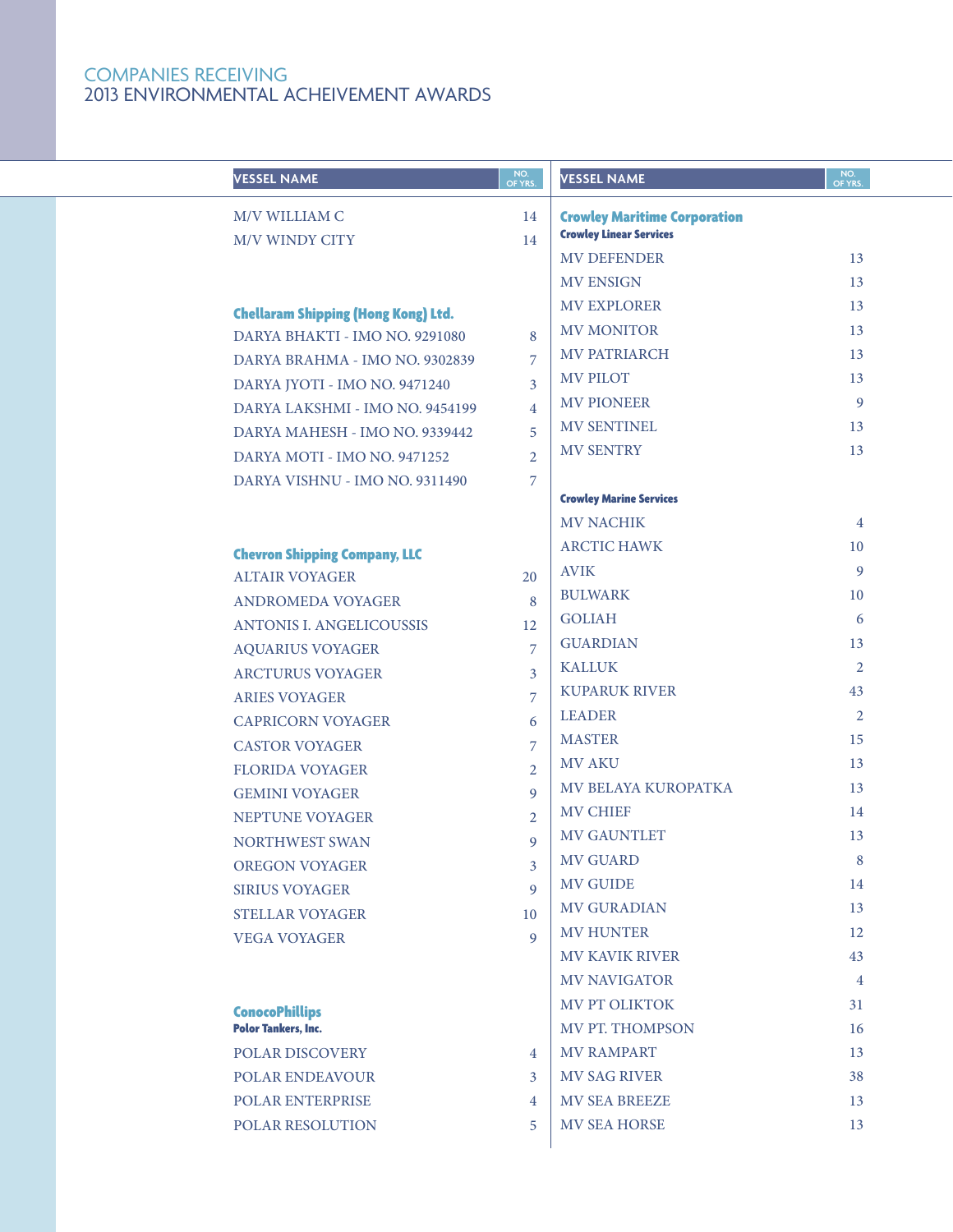| <b>VESSEL NAME</b>                         | NO.<br>OF YRS. | <b>VESSEL NAME</b>                                                    | NO.<br>OF YRS. |
|--------------------------------------------|----------------|-----------------------------------------------------------------------|----------------|
| M/V WILLIAM C<br><b>M/V WINDY CITY</b>     | 14<br>14       | <b>Crowley Maritime Corporation</b><br><b>Crowley Linear Services</b> |                |
|                                            |                | <b>MV DEFENDER</b>                                                    | 13             |
|                                            |                | <b>MV ENSIGN</b>                                                      | 13             |
| <b>Chellaram Shipping (Hong Kong) Ltd.</b> |                | <b>MV EXPLORER</b>                                                    | 13             |
| DARYA BHAKTI - IMO NO. 9291080             | 8              | <b>MV MONITOR</b>                                                     | 13             |
| DARYA BRAHMA - IMO NO. 9302839             | 7              | MV PATRIARCH                                                          | 13             |
| DARYA JYOTI - IMO NO. 9471240              | 3              | <b>MV PILOT</b>                                                       | 13             |
| DARYA LAKSHMI - IMO NO. 9454199            | $\overline{4}$ | <b>MV PIONEER</b>                                                     | 9              |
| DARYA MAHESH - IMO NO. 9339442             | 5              | MV SENTINEL                                                           | 13             |
| DARYA MOTI - IMO NO. 9471252               | $\overline{2}$ | <b>MV SENTRY</b>                                                      | 13             |
| DARYA VISHNU - IMO NO. 9311490             | 7              |                                                                       |                |
|                                            |                | <b>Crowley Marine Services</b>                                        |                |
|                                            |                | <b>MV NACHIK</b>                                                      | $\overline{4}$ |
| <b>Chevron Shipping Company, LLC</b>       |                | <b>ARCTIC HAWK</b>                                                    | 10             |
| <b>ALTAIR VOYAGER</b>                      | 20             | <b>AVIK</b>                                                           | 9              |
| <b>ANDROMEDA VOYAGER</b>                   | 8              | <b>BULWARK</b>                                                        | 10             |
| <b>ANTONIS I. ANGELICOUSSIS</b>            | 12             | <b>GOLIAH</b>                                                         | 6              |
| <b>AQUARIUS VOYAGER</b>                    | $\overline{7}$ | <b>GUARDIAN</b>                                                       | 13             |
| <b>ARCTURUS VOYAGER</b>                    | $\overline{3}$ | <b>KALLUK</b>                                                         | 2              |
| <b>ARIES VOYAGER</b>                       | $\overline{7}$ | <b>KUPARUK RIVER</b>                                                  | 43             |
| <b>CAPRICORN VOYAGER</b>                   | 6              | <b>LEADER</b>                                                         | 2              |
| <b>CASTOR VOYAGER</b>                      | $\overline{7}$ | <b>MASTER</b>                                                         | 15             |
| <b>FLORIDA VOYAGER</b>                     | $\overline{2}$ | <b>MV AKU</b>                                                         | 13             |
| <b>GEMINI VOYAGER</b>                      | 9              | MV BELAYA KUROPATKA                                                   | 13             |
| NEPTUNE VOYAGER                            | $\overline{2}$ | <b>MV CHIEF</b>                                                       | 14             |
| <b>NORTHWEST SWAN</b>                      | 9              | <b>MV GAUNTLET</b>                                                    | 13             |
| <b>OREGON VOYAGER</b>                      | 3              | <b>MV GUARD</b>                                                       | $8\phantom{1}$ |
| <b>SIRIUS VOYAGER</b>                      | 9              | <b>MV GUIDE</b>                                                       | 14             |
| <b>STELLAR VOYAGER</b>                     | 10             | MV GURADIAN                                                           | 13             |
| <b>VEGA VOYAGER</b>                        | 9              | <b>MV HUNTER</b>                                                      | 12             |
|                                            |                | <b>MV KAVIK RIVER</b>                                                 | 43             |
|                                            |                | <b>MV NAVIGATOR</b>                                                   | $\overline{4}$ |
| <b>ConocoPhillips</b>                      |                | MV PT OLIKTOK                                                         | 31             |
| <b>Polor Tankers, Inc.</b>                 |                | MV PT. THOMPSON                                                       | 16             |
| <b>POLAR DISCOVERY</b>                     | $\overline{4}$ | <b>MV RAMPART</b>                                                     | 13             |
| POLAR ENDEAVOUR                            | 3              | <b>MV SAG RIVER</b>                                                   | 38             |
| POLAR ENTERPRISE                           | 4              | <b>MV SEA BREEZE</b>                                                  | 13             |
| POLAR RESOLUTION                           | 5              | <b>MV SEA HORSE</b>                                                   | 13             |
|                                            |                |                                                                       |                |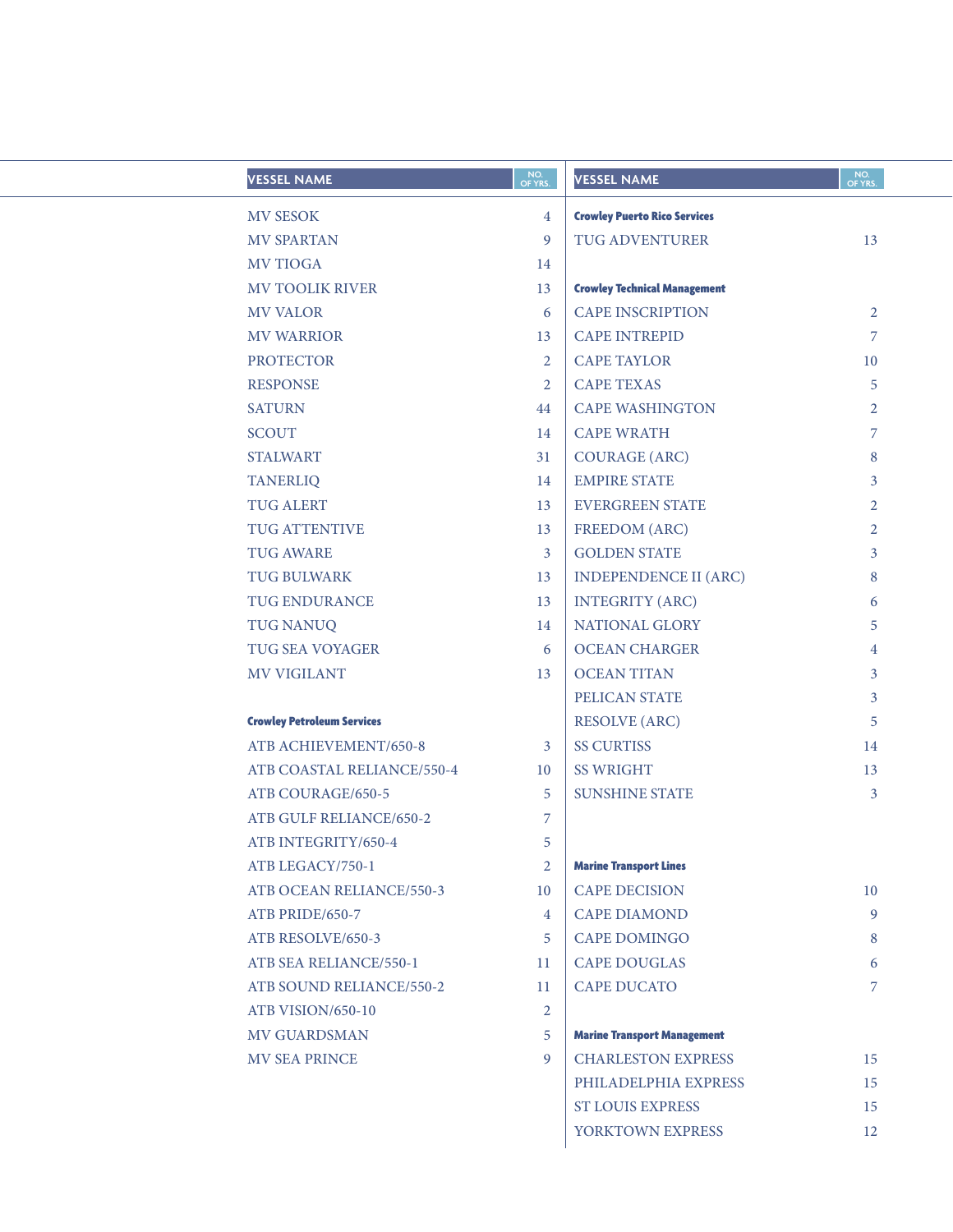| <b>VESSEL NAME</b>                | NO.<br>OF YRS. | <b>VESSEL NAME</b>                  | NO.<br>OF YRS. |
|-----------------------------------|----------------|-------------------------------------|----------------|
| <b>MV SESOK</b>                   | $\overline{4}$ | <b>Crowley Puerto Rico Services</b> |                |
| <b>MV SPARTAN</b>                 | 9              | TUG ADVENTURER                      | 13             |
| <b>MV TIOGA</b>                   | 14             |                                     |                |
| <b>MV TOOLIK RIVER</b>            | 13             | <b>Crowley Technical Management</b> |                |
| <b>MV VALOR</b>                   | 6              | <b>CAPE INSCRIPTION</b>             | $\overline{2}$ |
| <b>MV WARRIOR</b>                 | 13             | <b>CAPE INTREPID</b>                | $\overline{7}$ |
| <b>PROTECTOR</b>                  | 2              | <b>CAPE TAYLOR</b>                  | 10             |
| <b>RESPONSE</b>                   | 2              | <b>CAPE TEXAS</b>                   | 5              |
| <b>SATURN</b>                     | 44             | <b>CAPE WASHINGTON</b>              | $\overline{2}$ |
| <b>SCOUT</b>                      | 14             | <b>CAPE WRATH</b>                   | 7              |
| <b>STALWART</b>                   | 31             | <b>COURAGE (ARC)</b>                | 8              |
| <b>TANERLIQ</b>                   | 14             | <b>EMPIRE STATE</b>                 | 3              |
| <b>TUG ALERT</b>                  | 13             | <b>EVERGREEN STATE</b>              | $\overline{2}$ |
| <b>TUG ATTENTIVE</b>              | 13             | <b>FREEDOM (ARC)</b>                | $\overline{2}$ |
| <b>TUG AWARE</b>                  | 3              | <b>GOLDEN STATE</b>                 | 3              |
| <b>TUG BULWARK</b>                | 13             | <b>INDEPENDENCE II (ARC)</b>        | 8              |
| <b>TUG ENDURANCE</b>              | 13             | <b>INTEGRITY (ARC)</b>              | 6              |
| <b>TUG NANUQ</b>                  | 14             | NATIONAL GLORY                      | 5              |
| <b>TUG SEA VOYAGER</b>            | 6              | <b>OCEAN CHARGER</b>                | 4              |
| <b>MV VIGILANT</b>                | 13             | <b>OCEAN TITAN</b>                  | 3              |
|                                   |                | PELICAN STATE                       | 3              |
| <b>Crowley Petroleum Services</b> |                | <b>RESOLVE (ARC)</b>                | 5              |
| ATB ACHIEVEMENT/650-8             | 3              | <b>SS CURTISS</b>                   | 14             |
| ATB COASTAL RELIANCE/550-4        | 10             | <b>SS WRIGHT</b>                    | 13             |
| ATB COURAGE/650-5                 | 5              | <b>SUNSHINE STATE</b>               | 3              |
| ATB GULF RELIANCE/650-2           | 7              |                                     |                |
| ATB INTEGRITY/650-4               | 5              |                                     |                |
| ATB LEGACY/750-1                  | 2              | <b>Marine Transport Lines</b>       |                |
| ATB OCEAN RELIANCE/550-3          | 10             | <b>CAPE DECISION</b>                | 10             |
| ATB PRIDE/650-7                   | 4              | <b>CAPE DIAMOND</b>                 | 9              |
| ATB RESOLVE/650-3                 | 5              | <b>CAPE DOMINGO</b>                 | 8              |
| ATB SEA RELIANCE/550-1            | 11             | <b>CAPE DOUGLAS</b>                 | 6              |
| ATB SOUND RELIANCE/550-2          | 11             | <b>CAPE DUCATO</b>                  | $\overline{7}$ |
| ATB VISION/650-10                 | $\overline{2}$ |                                     |                |
| <b>MV GUARDSMAN</b>               | 5              | <b>Marine Transport Management</b>  |                |
| MV SEA PRINCE                     | 9              | <b>CHARLESTON EXPRESS</b>           | 15             |
|                                   |                | PHILADELPHIA EXPRESS                | 15             |
|                                   |                | <b>ST LOUIS EXPRESS</b>             | 15             |
|                                   |                | YORKTOWN EXPRESS                    | 12             |
|                                   |                |                                     |                |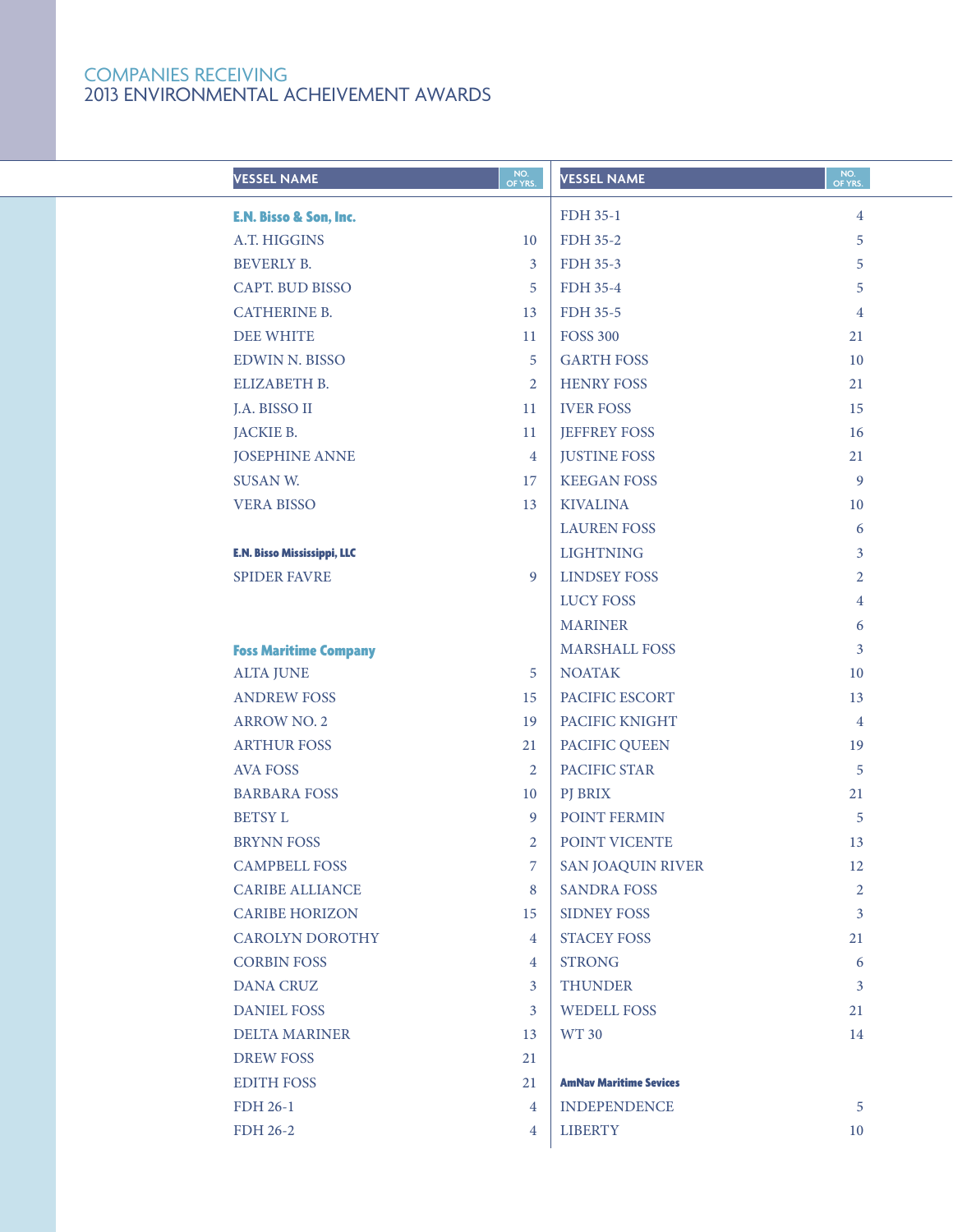| <b>VESSEL NAME</b>           | NO.<br>OF YRS. | <b>VESSEL NAME</b>            | NO.<br>OF YRS. |
|------------------------------|----------------|-------------------------------|----------------|
| E.N. Bisso & Son, Inc.       |                | FDH 35-1                      | $\overline{4}$ |
| A.T. HIGGINS                 | 10             | <b>FDH 35-2</b>               | 5              |
| <b>BEVERLY B.</b>            | 3              | FDH 35-3                      | 5              |
| <b>CAPT. BUD BISSO</b>       | 5              | <b>FDH 35-4</b>               | 5              |
| <b>CATHERINE B.</b>          | 13             | FDH 35-5                      | $\overline{4}$ |
| <b>DEE WHITE</b>             | 11             | <b>FOSS 300</b>               | 21             |
| <b>EDWIN N. BISSO</b>        | 5              | <b>GARTH FOSS</b>             | 10             |
| ELIZABETH B.                 | 2              | <b>HENRY FOSS</b>             | 21             |
| J.A. BISSO II                | 11             | <b>IVER FOSS</b>              | 15             |
| JACKIE B.                    | 11             | <b>JEFFREY FOSS</b>           | 16             |
| <b>JOSEPHINE ANNE</b>        | $\overline{4}$ | <b>JUSTINE FOSS</b>           | 21             |
| SUSAN W.                     | 17             | <b>KEEGAN FOSS</b>            | 9              |
| <b>VERA BISSO</b>            | 13             | <b>KIVALINA</b>               | 10             |
|                              |                | <b>LAUREN FOSS</b>            | 6              |
| E.N. Bisso Mississippi, LLC  |                | <b>LIGHTNING</b>              | 3              |
| <b>SPIDER FAVRE</b>          | 9              | <b>LINDSEY FOSS</b>           | $\overline{2}$ |
|                              |                | <b>LUCY FOSS</b>              | $\overline{4}$ |
|                              |                | <b>MARINER</b>                | 6              |
| <b>Foss Maritime Company</b> |                | <b>MARSHALL FOSS</b>          | 3              |
| <b>ALTA JUNE</b>             | 5              | <b>NOATAK</b>                 | 10             |
| <b>ANDREW FOSS</b>           | 15             | PACIFIC ESCORT                | 13             |
| <b>ARROW NO. 2</b>           | 19             | PACIFIC KNIGHT                | $\overline{4}$ |
| <b>ARTHUR FOSS</b>           | 21             | PACIFIC QUEEN                 | 19             |
| <b>AVA FOSS</b>              | 2              | PACIFIC STAR                  | 5              |
| <b>BARBARA FOSS</b>          | 10             | PJ BRIX                       | 21             |
| <b>BETSY L</b>               | 9              | POINT FERMIN                  | 5              |
| <b>BRYNN FOSS</b>            | 2              | POINT VICENTE                 | 13             |
| <b>CAMPBELL FOSS</b>         | $\overline{7}$ | <b>SAN JOAQUIN RIVER</b>      | 12             |
| <b>CARIBE ALLIANCE</b>       | 8              | <b>SANDRA FOSS</b>            | 2              |
| <b>CARIBE HORIZON</b>        | 15             | <b>SIDNEY FOSS</b>            | 3              |
| <b>CAROLYN DOROTHY</b>       | 4              | <b>STACEY FOSS</b>            | 21             |
| <b>CORBIN FOSS</b>           | 4              | <b>STRONG</b>                 | 6              |
| <b>DANA CRUZ</b>             | 3              | <b>THUNDER</b>                | 3              |
| <b>DANIEL FOSS</b>           | 3              | <b>WEDELL FOSS</b>            | 21             |
| <b>DELTA MARINER</b>         | 13             | <b>WT 30</b>                  | 14             |
| <b>DREW FOSS</b>             | 21             |                               |                |
| <b>EDITH FOSS</b>            | 21             | <b>AmNav Maritime Sevices</b> |                |
| <b>FDH 26-1</b>              | 4              | <b>INDEPENDENCE</b>           | 5              |
| <b>FDH 26-2</b>              | 4              | <b>LIBERTY</b>                | 10             |
|                              |                |                               |                |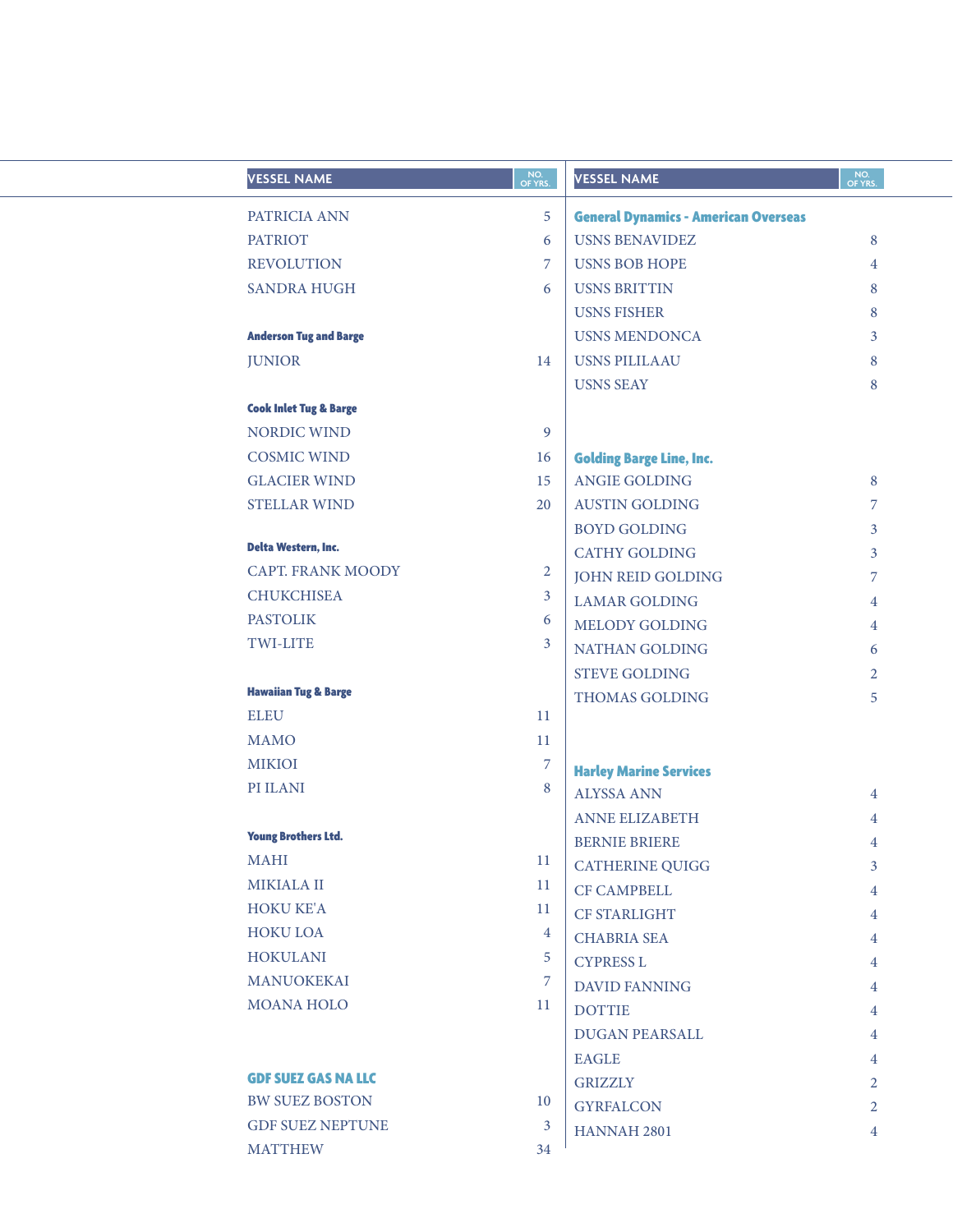| <b>VESSEL NAME</b>                | NO.<br>OF YRS. | <b>VESSEL NAME</b>                          | NO.<br>OF YRS. |
|-----------------------------------|----------------|---------------------------------------------|----------------|
| PATRICIA ANN                      | 5              | <b>General Dynamics - American Overseas</b> |                |
| <b>PATRIOT</b>                    | 6              | <b>USNS BENAVIDEZ</b>                       | 8              |
| <b>REVOLUTION</b>                 | 7              | <b>USNS BOB HOPE</b>                        | 4              |
| <b>SANDRA HUGH</b>                | 6              | <b>USNS BRITTIN</b>                         | 8              |
|                                   |                | <b>USNS FISHER</b>                          | 8              |
| <b>Anderson Tug and Barge</b>     |                | <b>USNS MENDONCA</b>                        | 3              |
| <b>JUNIOR</b>                     | 14             | <b>USNS PILILAAU</b>                        | 8              |
|                                   |                | <b>USNS SEAY</b>                            | $8\phantom{1}$ |
| <b>Cook Inlet Tug &amp; Barge</b> |                |                                             |                |
| NORDIC WIND                       | 9              |                                             |                |
| <b>COSMIC WIND</b>                | 16             | <b>Golding Barge Line, Inc.</b>             |                |
| <b>GLACIER WIND</b>               | 15             | <b>ANGIE GOLDING</b>                        | 8              |
| <b>STELLAR WIND</b>               | 20             | <b>AUSTIN GOLDING</b>                       | 7              |
|                                   |                | <b>BOYD GOLDING</b>                         | 3              |
| Delta Western, Inc.               |                | <b>CATHY GOLDING</b>                        | 3              |
| <b>CAPT. FRANK MOODY</b>          | $\overline{2}$ | <b>JOHN REID GOLDING</b>                    | 7              |
| <b>CHUKCHISEA</b>                 | 3              | <b>LAMAR GOLDING</b>                        | 4              |
| <b>PASTOLIK</b>                   | 6              | MELODY GOLDING                              | 4              |
| <b>TWI-LITE</b>                   | 3              | NATHAN GOLDING                              | 6              |
|                                   |                | <b>STEVE GOLDING</b>                        | 2              |
| <b>Hawaiian Tug &amp; Barge</b>   |                | <b>THOMAS GOLDING</b>                       | 5              |
| <b>ELEU</b>                       | 11             |                                             |                |
| <b>MAMO</b>                       | 11             |                                             |                |
| <b>MIKIOI</b>                     | 7              | <b>Harley Marine Services</b>               |                |
| PI ILANI                          | 8              | <b>ALYSSA ANN</b>                           | 4              |
|                                   |                | <b>ANNE ELIZABETH</b>                       | 4              |
| <b>Young Brothers Ltd.</b>        |                | <b>BERNIE BRIERE</b>                        | 4              |
| <b>MAHI</b>                       | 11             | <b>CATHERINE QUIGG</b>                      | 3              |
| <b>MIKIALA II</b>                 | 11             | <b>CF CAMPBELL</b>                          | 4              |
| HOKU KE'A                         | 11             | <b>CF STARLIGHT</b>                         | 4              |
| <b>HOKU LOA</b>                   | $\overline{4}$ | <b>CHABRIA SEA</b>                          | 4              |
| <b>HOKULANI</b>                   | 5              | <b>CYPRESS L</b>                            | 4              |
| MANUOKEKAI                        | 7              | <b>DAVID FANNING</b>                        | 4              |
| <b>MOANA HOLO</b>                 | 11             | <b>DOTTIE</b>                               | 4              |
|                                   |                | DUGAN PEARSALL                              | 4              |
|                                   |                | <b>EAGLE</b>                                | 4              |
| <b>GDF SUEZ GAS NA LLC</b>        |                | <b>GRIZZLY</b>                              | 2              |
| <b>BW SUEZ BOSTON</b>             | 10             | <b>GYRFALCON</b>                            | 2              |
| <b>GDF SUEZ NEPTUNE</b>           | 3              | HANNAH 2801                                 | 4              |
| <b>MATTHEW</b>                    | 34             |                                             |                |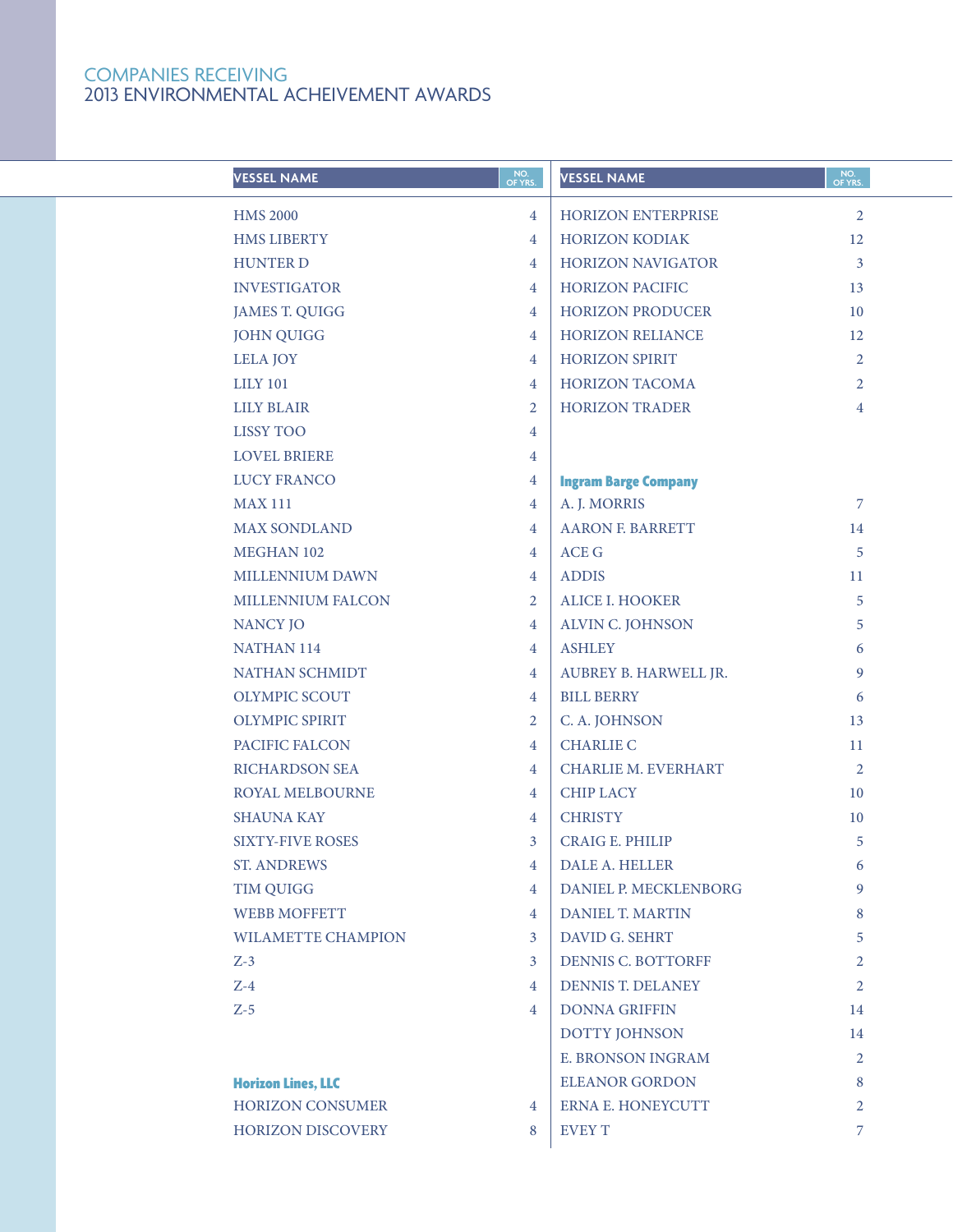| <b>VESSEL NAME</b>        | NO.<br>OF YRS.          | <b>VESSEL NAME</b>          | NO.<br>OF YRS. |  |
|---------------------------|-------------------------|-----------------------------|----------------|--|
| <b>HMS 2000</b>           | $\overline{4}$          | <b>HORIZON ENTERPRISE</b>   | $\overline{2}$ |  |
| <b>HMS LIBERTY</b>        | $\overline{4}$          | <b>HORIZON KODIAK</b>       | 12             |  |
| <b>HUNTER D</b>           | $\overline{4}$          | <b>HORIZON NAVIGATOR</b>    | 3              |  |
| <b>INVESTIGATOR</b>       | $\overline{4}$          | <b>HORIZON PACIFIC</b>      | 13             |  |
| <b>JAMES T. QUIGG</b>     | $\overline{4}$          | <b>HORIZON PRODUCER</b>     | 10             |  |
| <b>JOHN QUIGG</b>         | $\overline{4}$          | <b>HORIZON RELIANCE</b>     | 12             |  |
| <b>LELA JOY</b>           | $\overline{4}$          | <b>HORIZON SPIRIT</b>       | $\overline{2}$ |  |
| <b>LILY 101</b>           | $\overline{4}$          | <b>HORIZON TACOMA</b>       | $\overline{2}$ |  |
| <b>LILY BLAIR</b>         | 2                       | <b>HORIZON TRADER</b>       | $\overline{4}$ |  |
| <b>LISSY TOO</b>          | $\overline{4}$          |                             |                |  |
| <b>LOVEL BRIERE</b>       | 4                       |                             |                |  |
| <b>LUCY FRANCO</b>        | $\overline{4}$          | <b>Ingram Barge Company</b> |                |  |
| <b>MAX 111</b>            | $\overline{4}$          | A. J. MORRIS                | $\overline{7}$ |  |
| <b>MAX SONDLAND</b>       | $\overline{4}$          | <b>AARON F. BARRETT</b>     | 14             |  |
| MEGHAN 102                | $\overline{4}$          | <b>ACE G</b>                | 5              |  |
| MILLENNIUM DAWN           | 4                       | <b>ADDIS</b>                | 11             |  |
| <b>MILLENNIUM FALCON</b>  | 2                       | <b>ALICE I. HOOKER</b>      | 5              |  |
| <b>NANCY JO</b>           | $\overline{4}$          | ALVIN C. JOHNSON            | 5              |  |
| <b>NATHAN 114</b>         | $\overline{4}$          | <b>ASHLEY</b>               | 6              |  |
| NATHAN SCHMIDT            | 4                       | AUBREY B. HARWELL JR.       | 9              |  |
| <b>OLYMPIC SCOUT</b>      | $\overline{4}$          | <b>BILL BERRY</b>           | 6              |  |
| <b>OLYMPIC SPIRIT</b>     | 2                       | C. A. JOHNSON               | 13             |  |
| PACIFIC FALCON            | $\overline{4}$          | <b>CHARLIE C</b>            | 11             |  |
| <b>RICHARDSON SEA</b>     | $\overline{4}$          | <b>CHARLIE M. EVERHART</b>  | 2              |  |
| <b>ROYAL MELBOURNE</b>    | $\overline{4}$          | <b>CHIP LACY</b>            | 10             |  |
| <b>SHAUNA KAY</b>         | $\overline{4}$          | <b>CHRISTY</b>              | 10             |  |
| <b>SIXTY-FIVE ROSES</b>   | 3                       | <b>CRAIGE. PHILIP</b>       | 5              |  |
| <b>ST. ANDREWS</b>        | $\overline{\mathbf{4}}$ | DALE A. HELLER              | 6              |  |
| <b>TIM QUIGG</b>          | $\overline{4}$          | DANIEL P. MECKLENBORG       | 9              |  |
| <b>WEBB MOFFETT</b>       | $\overline{4}$          | <b>DANIEL T. MARTIN</b>     | 8              |  |
| <b>WILAMETTE CHAMPION</b> | 3                       | DAVID G. SEHRT              | 5              |  |
| $Z-3$                     | 3                       | <b>DENNIS C. BOTTORFF</b>   | $\overline{2}$ |  |
| $Z-4$                     | $\overline{4}$          | <b>DENNIS T. DELANEY</b>    | $\overline{2}$ |  |
| $Z-5$                     | $\overline{4}$          | <b>DONNA GRIFFIN</b>        | 14             |  |
|                           |                         | <b>DOTTY JOHNSON</b>        | 14             |  |
|                           |                         | E. BRONSON INGRAM           | $\overline{2}$ |  |
| <b>Horizon Lines, LLC</b> |                         | <b>ELEANOR GORDON</b>       | 8              |  |
| <b>HORIZON CONSUMER</b>   | 4                       | ERNA E. HONEYCUTT           | $\overline{2}$ |  |
| HORIZON DISCOVERY         | 8                       | <b>EVEY T</b>               | $\overline{7}$ |  |
|                           |                         |                             |                |  |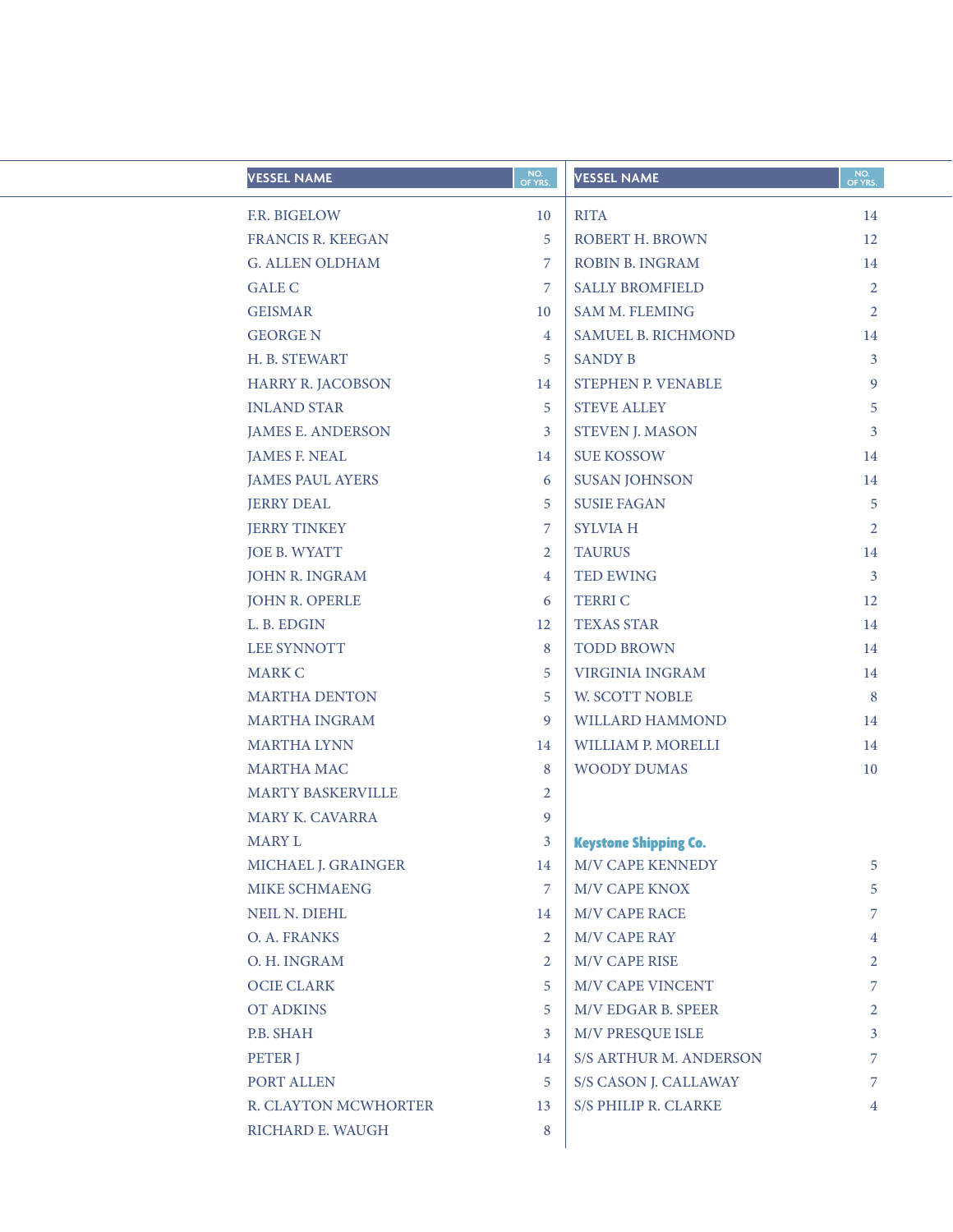| <b>VESSEL NAME</b>       | NO.<br>OF YRS. | <b>VESSEL NAME</b>           | NO.<br>OF YRS. |
|--------------------------|----------------|------------------------------|----------------|
| <b>F.R. BIGELOW</b>      | 10             | <b>RITA</b>                  | 14             |
| <b>FRANCIS R. KEEGAN</b> | 5              | ROBERT H. BROWN              | 12             |
| <b>G. ALLEN OLDHAM</b>   | 7              | <b>ROBIN B. INGRAM</b>       | 14             |
| <b>GALE C</b>            | 7              | <b>SALLY BROMFIELD</b>       | $\overline{2}$ |
| <b>GEISMAR</b>           | 10             | <b>SAM M. FLEMING</b>        | $\overline{2}$ |
| <b>GEORGE N</b>          | 4              | <b>SAMUEL B. RICHMOND</b>    | 14             |
| H. B. STEWART            | 5              | <b>SANDY B</b>               | $\mathbf{3}$   |
| <b>HARRY R. JACOBSON</b> | 14             | STEPHEN P. VENABLE           | 9              |
| <b>INLAND STAR</b>       | 5              | <b>STEVE ALLEY</b>           | 5              |
| <b>JAMES E. ANDERSON</b> | 3              | <b>STEVEN J. MASON</b>       | $\mathbf{3}$   |
| <b>JAMES F. NEAL</b>     | 14             | <b>SUE KOSSOW</b>            | 14             |
| <b>JAMES PAUL AYERS</b>  | 6              | <b>SUSAN JOHNSON</b>         | 14             |
| <b>JERRY DEAL</b>        | 5              | <b>SUSIE FAGAN</b>           | 5              |
| <b>JERRY TINKEY</b>      | 7              | <b>SYLVIA H</b>              | $\overline{2}$ |
| JOE B. WYATT             | 2              | <b>TAURUS</b>                | 14             |
| <b>JOHN R. INGRAM</b>    | 4              | <b>TED EWING</b>             | 3              |
| <b>JOHN R. OPERLE</b>    | 6              | <b>TERRIC</b>                | 12             |
| L. B. EDGIN              | 12             | <b>TEXAS STAR</b>            | 14             |
| LEE SYNNOTT              | 8              | <b>TODD BROWN</b>            | 14             |
| <b>MARK C</b>            | 5              | <b>VIRGINIA INGRAM</b>       | 14             |
| <b>MARTHA DENTON</b>     | 5              | W. SCOTT NOBLE               | 8              |
| <b>MARTHA INGRAM</b>     | 9              | <b>WILLARD HAMMOND</b>       | 14             |
| <b>MARTHA LYNN</b>       | 14             | WILLIAM P. MORELLI           | 14             |
| <b>MARTHA MAC</b>        | 8              | <b>WOODY DUMAS</b>           | 10             |
| <b>MARTY BASKERVILLE</b> | $\overline{2}$ |                              |                |
| <b>MARY K. CAVARRA</b>   | 9              |                              |                |
| <b>MARY L</b>            | 3              | <b>Keystone Shipping Co.</b> |                |
| MICHAEL J. GRAINGER      | 14             | M/V CAPE KENNEDY             | 5              |
| MIKE SCHMAENG            | 7              | M/V CAPE KNOX                | 5              |
| <b>NEIL N. DIEHL</b>     | 14             | <b>M/V CAPE RACE</b>         | $\overline{7}$ |
| O. A. FRANKS             | 2              | <b>M/V CAPE RAY</b>          | $\overline{4}$ |
| O. H. INGRAM             | 2              | <b>M/V CAPE RISE</b>         | $\overline{2}$ |
| <b>OCIE CLARK</b>        | 5              | M/V CAPE VINCENT             | 7              |
| <b>OT ADKINS</b>         | 5              | <b>M/V EDGAR B. SPEER</b>    | $\overline{2}$ |
| P.B. SHAH                | 3              | M/V PRESQUE ISLE             | $\mathbf{3}$   |
| <b>PETER J</b>           | 14             | S/S ARTHUR M. ANDERSON       | 7              |
| PORT ALLEN               | 5              | S/S CASON J. CALLAWAY        | $\overline{7}$ |
| R. CLAYTON MCWHORTER     | 13             | S/S PHILIP R. CLARKE         | $\overline{4}$ |
| RICHARD E. WAUGH         | 8              |                              |                |
|                          |                |                              |                |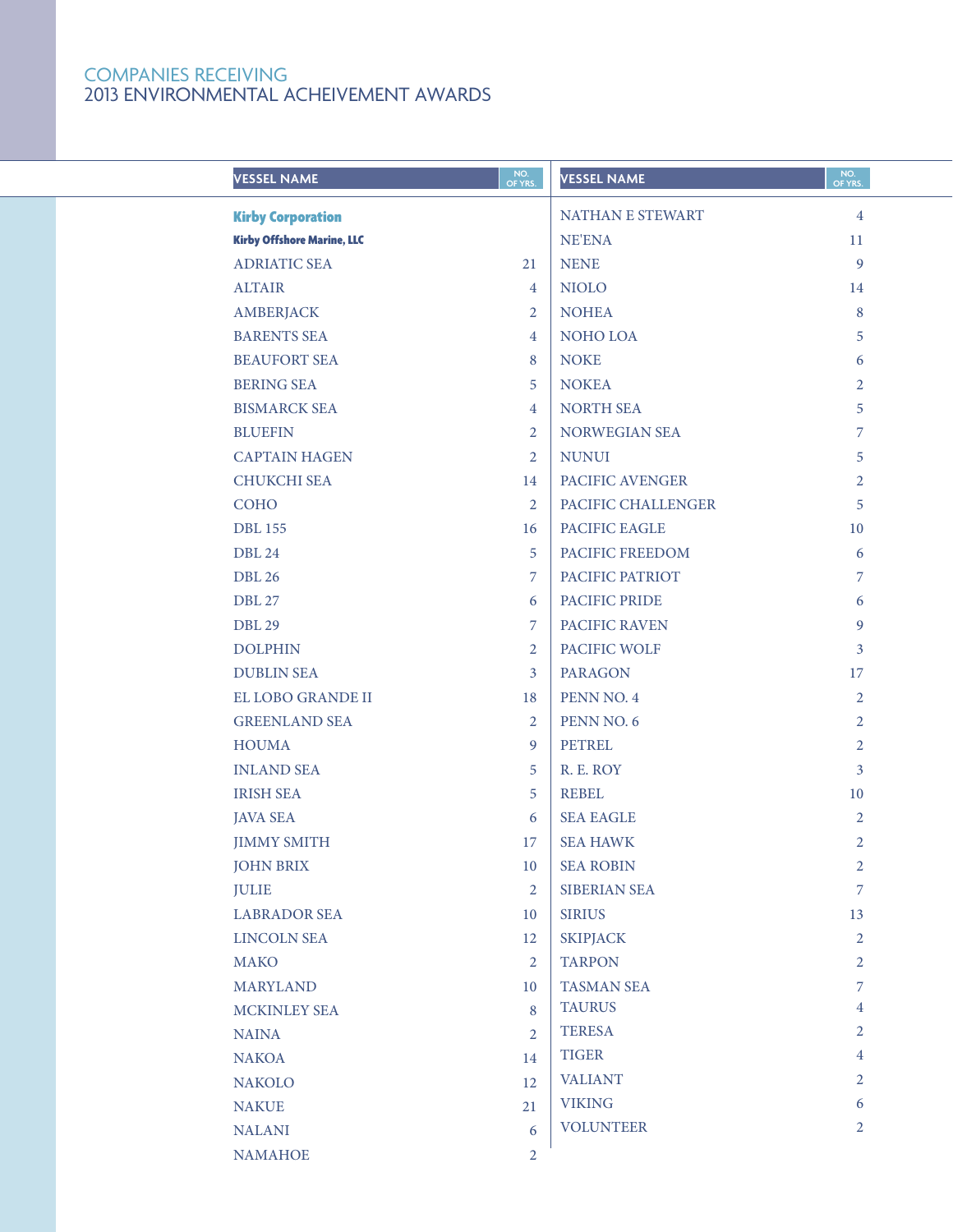|  | <b>VESSEL NAME</b>                | NO.<br>OF YRS. | <b>VESSEL NAME</b>   | NO.<br>OF YRS. |
|--|-----------------------------------|----------------|----------------------|----------------|
|  | <b>Kirby Corporation</b>          |                | NATHAN E STEWART     | $\overline{4}$ |
|  | <b>Kirby Offshore Marine, LLC</b> |                | <b>NE'ENA</b>        | 11             |
|  | <b>ADRIATIC SEA</b>               | 21             | <b>NENE</b>          | 9              |
|  | <b>ALTAIR</b>                     | $\overline{4}$ | <b>NIOLO</b>         | 14             |
|  | <b>AMBERJACK</b>                  | $\overline{2}$ | <b>NOHEA</b>         | 8              |
|  | <b>BARENTS SEA</b>                | $\overline{4}$ | NOHO LOA             | 5              |
|  | <b>BEAUFORT SEA</b>               | 8              | <b>NOKE</b>          | 6              |
|  | <b>BERING SEA</b>                 | 5              | <b>NOKEA</b>         | 2              |
|  | <b>BISMARCK SEA</b>               | $\overline{4}$ | NORTH SEA            | 5              |
|  | <b>BLUEFIN</b>                    | $\overline{2}$ | <b>NORWEGIAN SEA</b> | 7              |
|  | <b>CAPTAIN HAGEN</b>              | $\overline{2}$ | <b>NUNUI</b>         | 5              |
|  | <b>CHUKCHI SEA</b>                | 14             | PACIFIC AVENGER      | $\overline{2}$ |
|  | <b>COHO</b>                       | $\overline{2}$ | PACIFIC CHALLENGER   | 5              |
|  | <b>DBL</b> 155                    | 16             | PACIFIC EAGLE        | 10             |
|  | <b>DBL 24</b>                     | 5              | PACIFIC FREEDOM      | 6              |
|  | <b>DBL 26</b>                     | $\overline{7}$ | PACIFIC PATRIOT      | $\overline{7}$ |
|  | <b>DBL 27</b>                     | 6              | PACIFIC PRIDE        | 6              |
|  | <b>DBL 29</b>                     | 7              | PACIFIC RAVEN        | 9              |
|  | <b>DOLPHIN</b>                    | $\overline{2}$ | PACIFIC WOLF         | 3              |
|  | <b>DUBLIN SEA</b>                 | $\mathbf{3}$   | <b>PARAGON</b>       | 17             |
|  | EL LOBO GRANDE II                 | 18             | PENN NO. 4           | 2              |
|  | <b>GREENLAND SEA</b>              | 2              | PENN NO. 6           | $\overline{2}$ |
|  | <b>HOUMA</b>                      | 9              | <b>PETREL</b>        | $\overline{2}$ |
|  | <b>INLAND SEA</b>                 | 5              | R. E. ROY            | 3              |
|  | <b>IRISH SEA</b>                  | 5              | <b>REBEL</b>         | 10             |
|  | <b>JAVA SEA</b>                   | 6              | <b>SEA EAGLE</b>     | 2              |
|  | <b>JIMMY SMITH</b>                | 17             | <b>SEA HAWK</b>      | 2              |
|  | <b>JOHN BRIX</b>                  | 10             | <b>SEA ROBIN</b>     | $\overline{2}$ |
|  | <b>JULIE</b>                      | $\overline{2}$ | <b>SIBERIAN SEA</b>  | 7              |
|  | <b>LABRADOR SEA</b>               | 10             | <b>SIRIUS</b>        | 13             |
|  | LINCOLN SEA                       | 12             | <b>SKIPJACK</b>      | 2              |
|  | <b>MAKO</b>                       | $\overline{2}$ | <b>TARPON</b>        | $\overline{2}$ |
|  | <b>MARYLAND</b>                   | 10             | <b>TASMAN SEA</b>    | $\overline{7}$ |
|  | MCKINLEY SEA                      | 8              | <b>TAURUS</b>        | 4              |
|  | <b>NAINA</b>                      | $\overline{2}$ | <b>TERESA</b>        | 2              |
|  | <b>NAKOA</b>                      | 14             | <b>TIGER</b>         | 4              |
|  | <b>NAKOLO</b>                     | 12             | <b>VALIANT</b>       | $\overline{2}$ |
|  | <b>NAKUE</b>                      | 21             | <b>VIKING</b>        | 6              |
|  | <b>NALANI</b>                     | 6              | <b>VOLUNTEER</b>     | 2              |
|  | <b>NAMAHOE</b>                    | $\overline{2}$ |                      |                |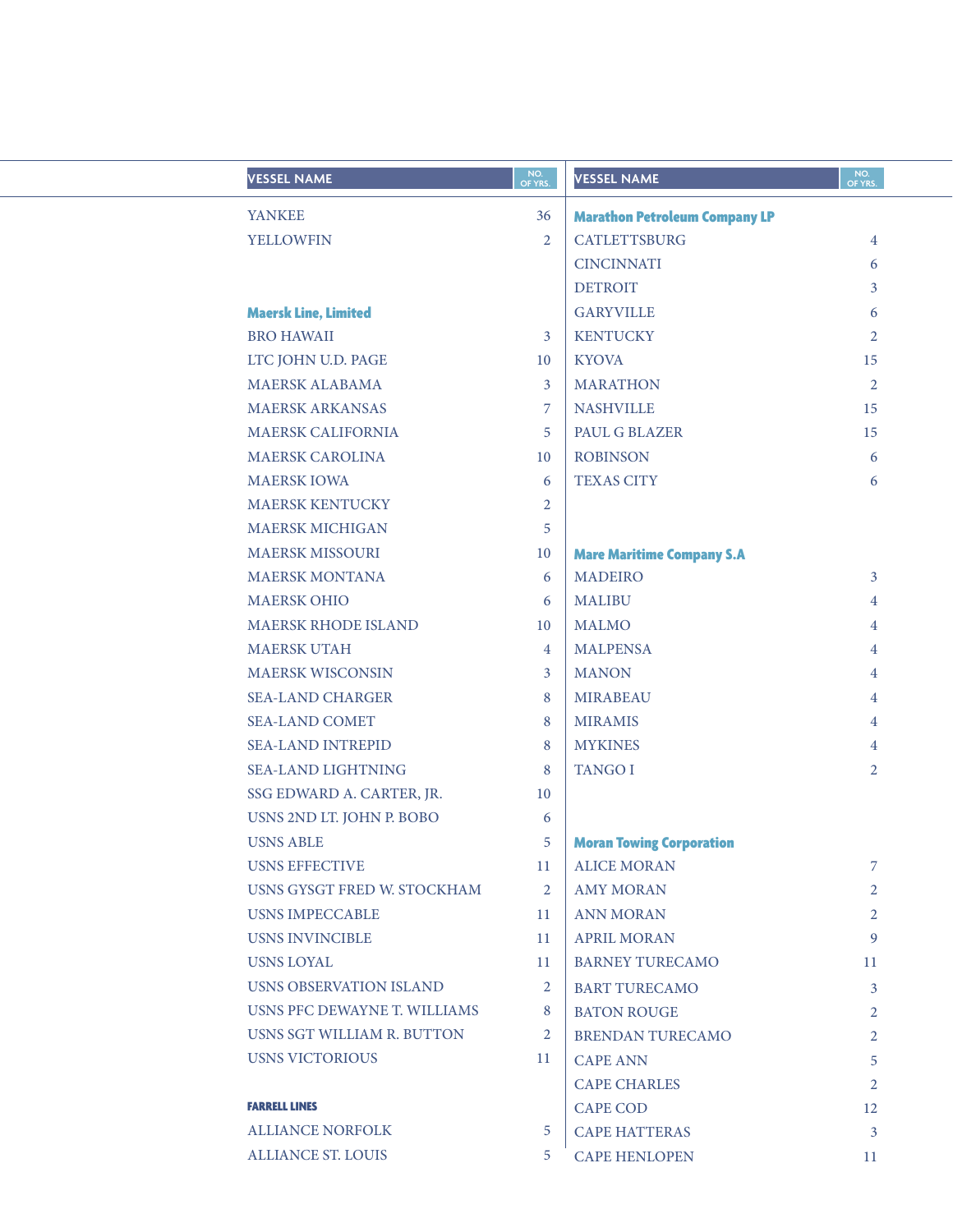| <b>VESSEL NAME</b>           | NO.<br>OF YRS. | <b>VESSEL NAME</b>                   | NO.<br>OF YRS. |
|------------------------------|----------------|--------------------------------------|----------------|
| <b>YANKEE</b>                | 36             | <b>Marathon Petroleum Company LP</b> |                |
| <b>YELLOWFIN</b>             | 2              | <b>CATLETTSBURG</b>                  | $\overline{4}$ |
|                              |                | <b>CINCINNATI</b>                    | 6              |
|                              |                | <b>DETROIT</b>                       | $\mathbf{3}$   |
| <b>Maersk Line, Limited</b>  |                | <b>GARYVILLE</b>                     | 6              |
| <b>BRO HAWAII</b>            | 3              | <b>KENTUCKY</b>                      | $\overline{2}$ |
| LTC JOHN U.D. PAGE           | 10             | <b>KYOVA</b>                         | 15             |
| <b>MAERSK ALABAMA</b>        | 3              | <b>MARATHON</b>                      | $\overline{2}$ |
| <b>MAERSK ARKANSAS</b>       | 7              | <b>NASHVILLE</b>                     | 15             |
| <b>MAERSK CALIFORNIA</b>     | 5              | PAUL G BLAZER                        | 15             |
| <b>MAERSK CAROLINA</b>       | 10             | <b>ROBINSON</b>                      | 6              |
| <b>MAERSK IOWA</b>           | 6              | <b>TEXAS CITY</b>                    | 6              |
| <b>MAERSK KENTUCKY</b>       | 2              |                                      |                |
| <b>MAERSK MICHIGAN</b>       | 5              |                                      |                |
| <b>MAERSK MISSOURI</b>       | 10             | <b>Mare Maritime Company S.A</b>     |                |
| <b>MAERSK MONTANA</b>        | 6              | <b>MADEIRO</b>                       | $\mathfrak{Z}$ |
| <b>MAERSK OHIO</b>           | 6              | <b>MALIBU</b>                        | $\overline{4}$ |
| <b>MAERSK RHODE ISLAND</b>   | 10             | <b>MALMO</b>                         | $\overline{4}$ |
| <b>MAERSK UTAH</b>           | 4              | <b>MALPENSA</b>                      | $\overline{4}$ |
| <b>MAERSK WISCONSIN</b>      | 3              | <b>MANON</b>                         | $\overline{4}$ |
| <b>SEA-LAND CHARGER</b>      | 8              | <b>MIRABEAU</b>                      | 4              |
| <b>SEA-LAND COMET</b>        | 8              | <b>MIRAMIS</b>                       | $\overline{4}$ |
| <b>SEA-LAND INTREPID</b>     | 8              | <b>MYKINES</b>                       | 4              |
| <b>SEA-LAND LIGHTNING</b>    | 8              | <b>TANGO I</b>                       | $\overline{2}$ |
| SSG EDWARD A. CARTER, JR.    | 10             |                                      |                |
| USNS 2ND LT. JOHN P. BOBO    | 6              |                                      |                |
| <b>USNS ABLE</b>             | 5              | <b>Moran Towing Corporation</b>      |                |
| <b>USNS EFFECTIVE</b>        | 11             | <b>ALICE MORAN</b>                   | 7              |
| USNS GYSGT FRED W. STOCKHAM  | 2              | <b>AMY MORAN</b>                     | 2              |
| <b>USNS IMPECCABLE</b>       | 11             | <b>ANN MORAN</b>                     | $\overline{2}$ |
| <b>USNS INVINCIBLE</b>       | 11             | <b>APRIL MORAN</b>                   | 9              |
| <b>USNS LOYAL</b>            | 11             | <b>BARNEY TURECAMO</b>               | 11             |
| USNS OBSERVATION ISLAND      | 2              | <b>BART TURECAMO</b>                 | 3 <sup>1</sup> |
| USNS PFC DEWAYNE T. WILLIAMS | 8              | <b>BATON ROUGE</b>                   | 2              |
| USNS SGT WILLIAM R. BUTTON   | 2              | <b>BRENDAN TURECAMO</b>              | $\overline{2}$ |
| <b>USNS VICTORIOUS</b>       | 11             | <b>CAPE ANN</b>                      | 5              |
|                              |                | <b>CAPE CHARLES</b>                  | $\overline{2}$ |
| <b>FARRELL LINES</b>         |                | <b>CAPE COD</b>                      | 12             |
| <b>ALLIANCE NORFOLK</b>      | 5              | <b>CAPE HATTERAS</b>                 | 3              |
| <b>ALLIANCE ST. LOUIS</b>    | 5              | <b>CAPE HENLOPEN</b>                 | 11             |

I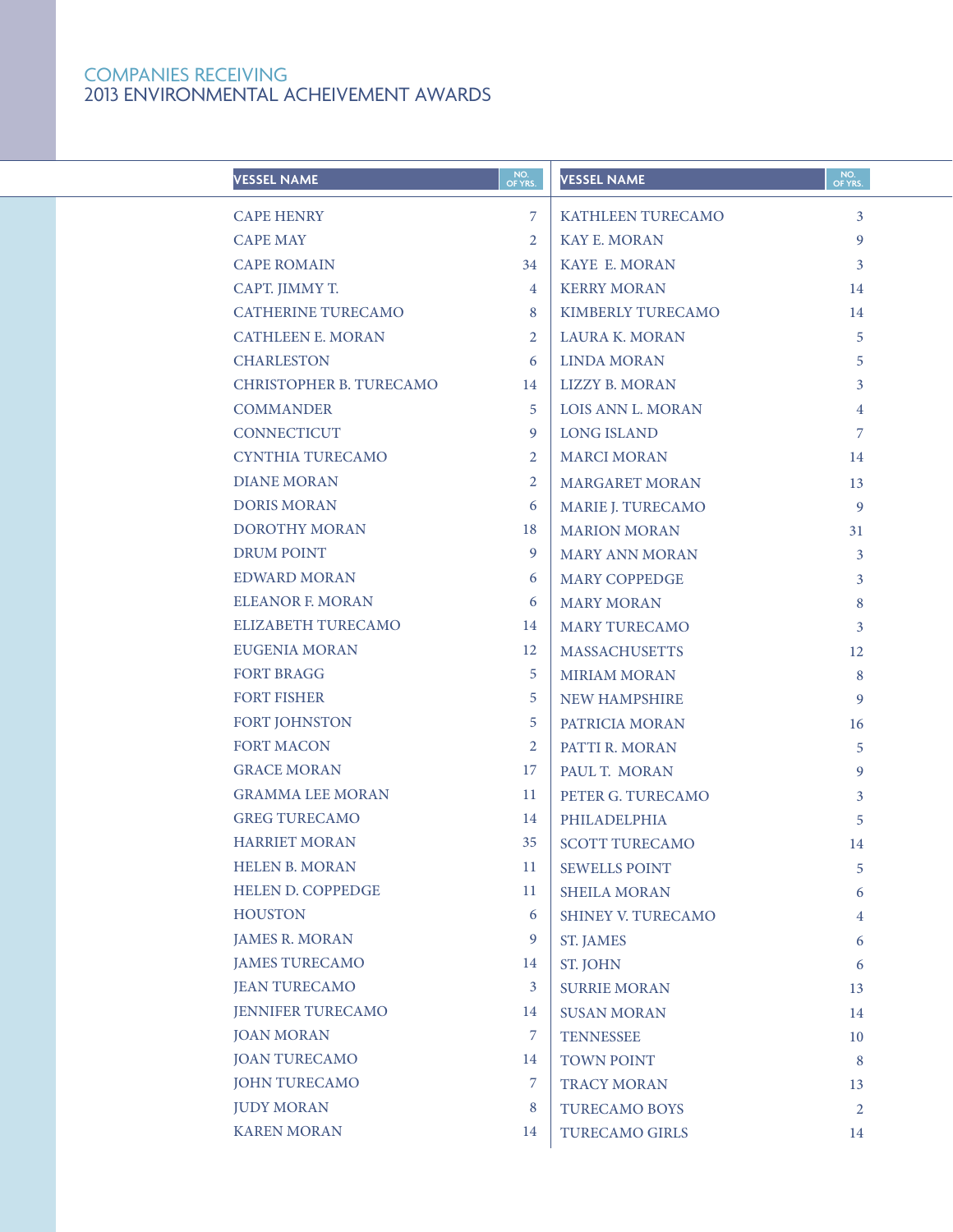| <b>VESSEL NAME</b>        | NO.<br>OF YRS. | <b>VESSEL NAME</b>        | NO.<br>OF YRS. |
|---------------------------|----------------|---------------------------|----------------|
| <b>CAPE HENRY</b>         | 7              | KATHLEEN TURECAMO         | 3              |
| <b>CAPE MAY</b>           | 2              | <b>KAY E. MORAN</b>       | 9              |
| <b>CAPE ROMAIN</b>        | 34             | <b>KAYE E. MORAN</b>      | 3              |
| CAPT. JIMMY T.            | $\overline{4}$ | <b>KERRY MORAN</b>        | 14             |
| <b>CATHERINE TURECAMO</b> | 8              | KIMBERLY TURECAMO         | 14             |
| <b>CATHLEEN E. MORAN</b>  | 2              | <b>LAURA K. MORAN</b>     | 5              |
| <b>CHARLESTON</b>         | 6              | <b>LINDA MORAN</b>        | 5              |
| CHRISTOPHER B. TURECAMO   | 14             | <b>LIZZY B. MORAN</b>     | 3              |
| <b>COMMANDER</b>          | 5              | LOIS ANN L. MORAN         | 4              |
| <b>CONNECTICUT</b>        | 9              | <b>LONG ISLAND</b>        | 7              |
| <b>CYNTHIA TURECAMO</b>   | 2              | <b>MARCI MORAN</b>        | 14             |
| <b>DIANE MORAN</b>        | $\overline{2}$ | <b>MARGARET MORAN</b>     | 13             |
| <b>DORIS MORAN</b>        | 6              | MARIE J. TURECAMO         | 9              |
| DOROTHY MORAN             | 18             | <b>MARION MORAN</b>       | 31             |
| <b>DRUM POINT</b>         | 9              | <b>MARY ANN MORAN</b>     | 3              |
| <b>EDWARD MORAN</b>       | 6              | <b>MARY COPPEDGE</b>      | 3              |
| <b>ELEANOR F. MORAN</b>   | 6              | <b>MARY MORAN</b>         | 8              |
| <b>ELIZABETH TURECAMO</b> | 14             | <b>MARY TURECAMO</b>      | 3              |
| <b>EUGENIA MORAN</b>      | 12             | <b>MASSACHUSETTS</b>      | 12             |
| <b>FORT BRAGG</b>         | 5              | <b>MIRIAM MORAN</b>       | 8              |
| <b>FORT FISHER</b>        | 5              | <b>NEW HAMPSHIRE</b>      | 9              |
| <b>FORT JOHNSTON</b>      | 5              | PATRICIA MORAN            | 16             |
| <b>FORT MACON</b>         | $\overline{2}$ | PATTI R. MORAN            | 5              |
| <b>GRACE MORAN</b>        | 17             | PAUL T. MORAN             | 9              |
| <b>GRAMMA LEE MORAN</b>   | 11             | PETER G. TURECAMO         | 3              |
| <b>GREG TURECAMO</b>      | 14             | PHILADELPHIA              | 5              |
| <b>HARRIET MORAN</b>      | 35             | <b>SCOTT TURECAMO</b>     | 14             |
| HELEN B. MORAN            | 11             | <b>SEWELLS POINT</b>      | 5              |
| <b>HELEN D. COPPEDGE</b>  | 11             | <b>SHEILA MORAN</b>       | 6              |
| <b>HOUSTON</b>            | 6              | <b>SHINEY V. TURECAMO</b> | 4              |
| <b>JAMES R. MORAN</b>     | 9              | <b>ST. JAMES</b>          | 6              |
| <b>JAMES TURECAMO</b>     | 14             | <b>ST. JOHN</b>           | 6              |
| <b>JEAN TURECAMO</b>      | 3              | <b>SURRIE MORAN</b>       | 13             |
| <b>JENNIFER TURECAMO</b>  | 14             | <b>SUSAN MORAN</b>        | 14             |
| <b>JOAN MORAN</b>         | 7              | <b>TENNESSEE</b>          | 10             |
| <b>JOAN TURECAMO</b>      | 14             | <b>TOWN POINT</b>         | 8              |
| <b>JOHN TURECAMO</b>      | 7              | <b>TRACY MORAN</b>        | 13             |
| <b>JUDY MORAN</b>         | 8              | <b>TURECAMO BOYS</b>      | 2              |
| <b>KAREN MORAN</b>        | 14             | <b>TURECAMO GIRLS</b>     | 14             |
|                           |                |                           |                |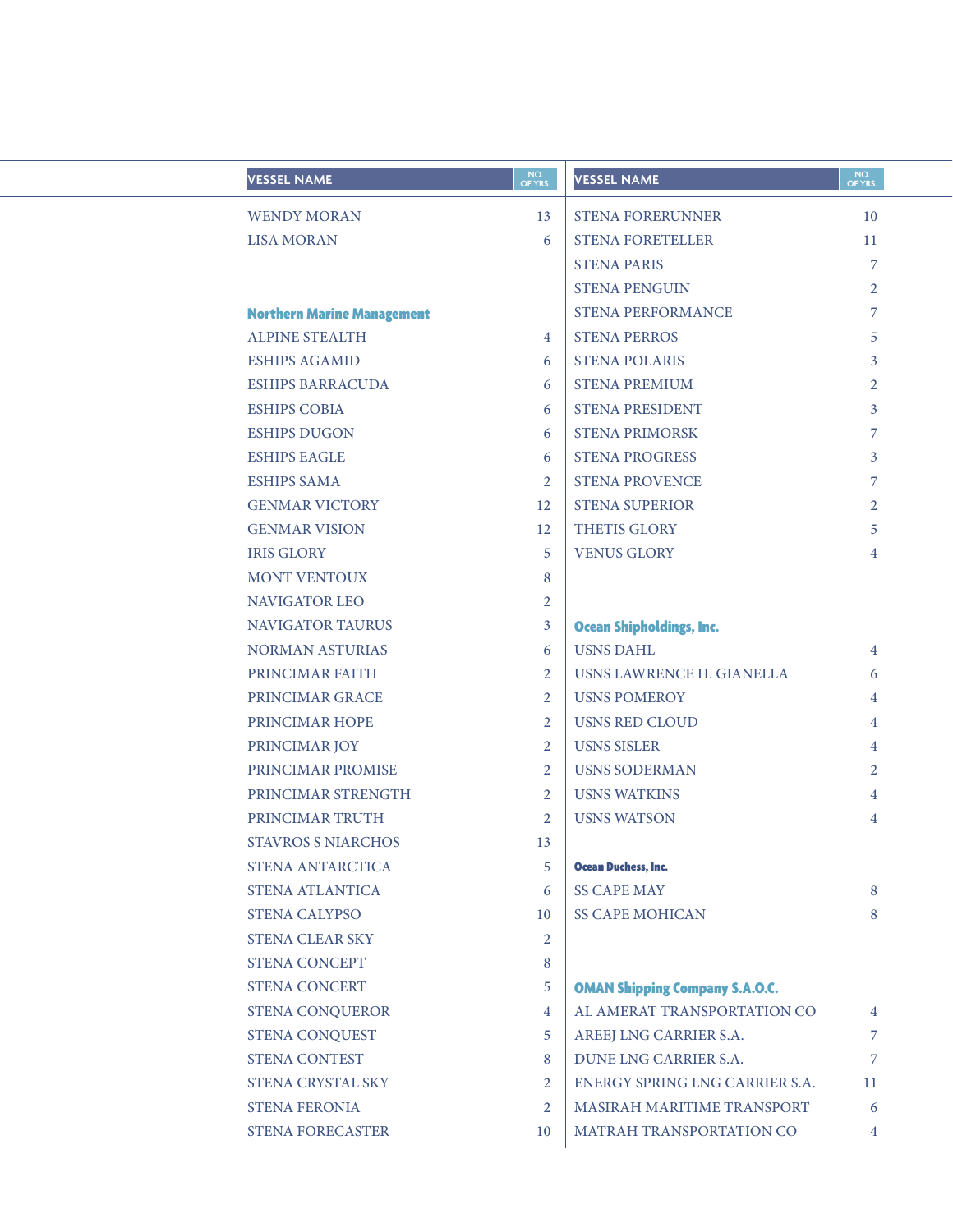| <b>VESSEL NAME</b>                | NO.<br>OF YRS. | <b>VESSEL NAME</b>                    | NO.<br>OF YRS. |
|-----------------------------------|----------------|---------------------------------------|----------------|
| <b>WENDY MORAN</b>                | 13             | <b>STENA FORERUNNER</b>               | 10             |
| <b>LISA MORAN</b>                 | 6              | <b>STENA FORETELLER</b>               | 11             |
|                                   |                | <b>STENA PARIS</b>                    | $\overline{7}$ |
|                                   |                | <b>STENA PENGUIN</b>                  | 2              |
| <b>Northern Marine Management</b> |                | <b>STENA PERFORMANCE</b>              | 7              |
| <b>ALPINE STEALTH</b>             | 4              | <b>STENA PERROS</b>                   | 5              |
| <b>ESHIPS AGAMID</b>              | 6              | <b>STENA POLARIS</b>                  | 3              |
| <b>ESHIPS BARRACUDA</b>           | 6              | <b>STENA PREMIUM</b>                  | $\overline{2}$ |
| <b>ESHIPS COBIA</b>               | 6              | <b>STENA PRESIDENT</b>                | $\overline{3}$ |
| <b>ESHIPS DUGON</b>               | 6              | <b>STENA PRIMORSK</b>                 | $\overline{7}$ |
| <b>ESHIPS EAGLE</b>               | 6              | <b>STENA PROGRESS</b>                 | 3              |
| <b>ESHIPS SAMA</b>                | 2              | <b>STENA PROVENCE</b>                 | 7              |
| <b>GENMAR VICTORY</b>             | 12             | <b>STENA SUPERIOR</b>                 | 2              |
| <b>GENMAR VISION</b>              | 12             | <b>THETIS GLORY</b>                   | 5              |
| <b>IRIS GLORY</b>                 | 5              | <b>VENUS GLORY</b>                    | 4              |
| MONT VENTOUX                      | 8              |                                       |                |
| <b>NAVIGATOR LEO</b>              | $\overline{2}$ |                                       |                |
| <b>NAVIGATOR TAURUS</b>           | 3              | <b>Ocean Shipholdings, Inc.</b>       |                |
| <b>NORMAN ASTURIAS</b>            | 6              | <b>USNS DAHL</b>                      | $\overline{4}$ |
| PRINCIMAR FAITH                   | 2              | USNS LAWRENCE H. GIANELLA             | 6              |
| PRINCIMAR GRACE                   | $\overline{2}$ | <b>USNS POMEROY</b>                   | 4              |
| PRINCIMAR HOPE                    | 2              | <b>USNS RED CLOUD</b>                 | 4              |
| PRINCIMAR JOY                     | 2              | <b>USNS SISLER</b>                    | 4              |
| PRINCIMAR PROMISE                 | 2              | <b>USNS SODERMAN</b>                  | $\overline{2}$ |
| PRINCIMAR STRENGTH                | 2              | <b>USNS WATKINS</b>                   | 4              |
| PRINCIMAR TRUTH                   | 2              | <b>USNS WATSON</b>                    | 4              |
| <b>STAVROS S NIARCHOS</b>         | 13             |                                       |                |
| STENA ANTARCTICA                  | 5              | <b>Ocean Duchess, Inc.</b>            |                |
| STENA ATLANTICA                   | 6              | <b>SS CAPE MAY</b>                    | 8              |
| <b>STENA CALYPSO</b>              | 10             | <b>SS CAPE MOHICAN</b>                | 8              |
| <b>STENA CLEAR SKY</b>            | 2              |                                       |                |
| STENA CONCEPT                     | 8              |                                       |                |
| <b>STENA CONCERT</b>              | 5              | <b>OMAN Shipping Company S.A.O.C.</b> |                |
| <b>STENA CONQUEROR</b>            | 4              | AL AMERAT TRANSPORTATION CO           | 4              |
| <b>STENA CONQUEST</b>             | 5              | AREEJ LNG CARRIER S.A.                | 7              |
| STENA CONTEST                     | 8              | DUNE LNG CARRIER S.A.                 | $\overline{7}$ |
| STENA CRYSTAL SKY                 | 2              | ENERGY SPRING LNG CARRIER S.A.        | 11             |
| <b>STENA FERONIA</b>              | 2              | MASIRAH MARITIME TRANSPORT            | 6              |
| STENA FORECASTER                  | 10             | MATRAH TRANSPORTATION CO              | $\overline{4}$ |
|                                   |                |                                       |                |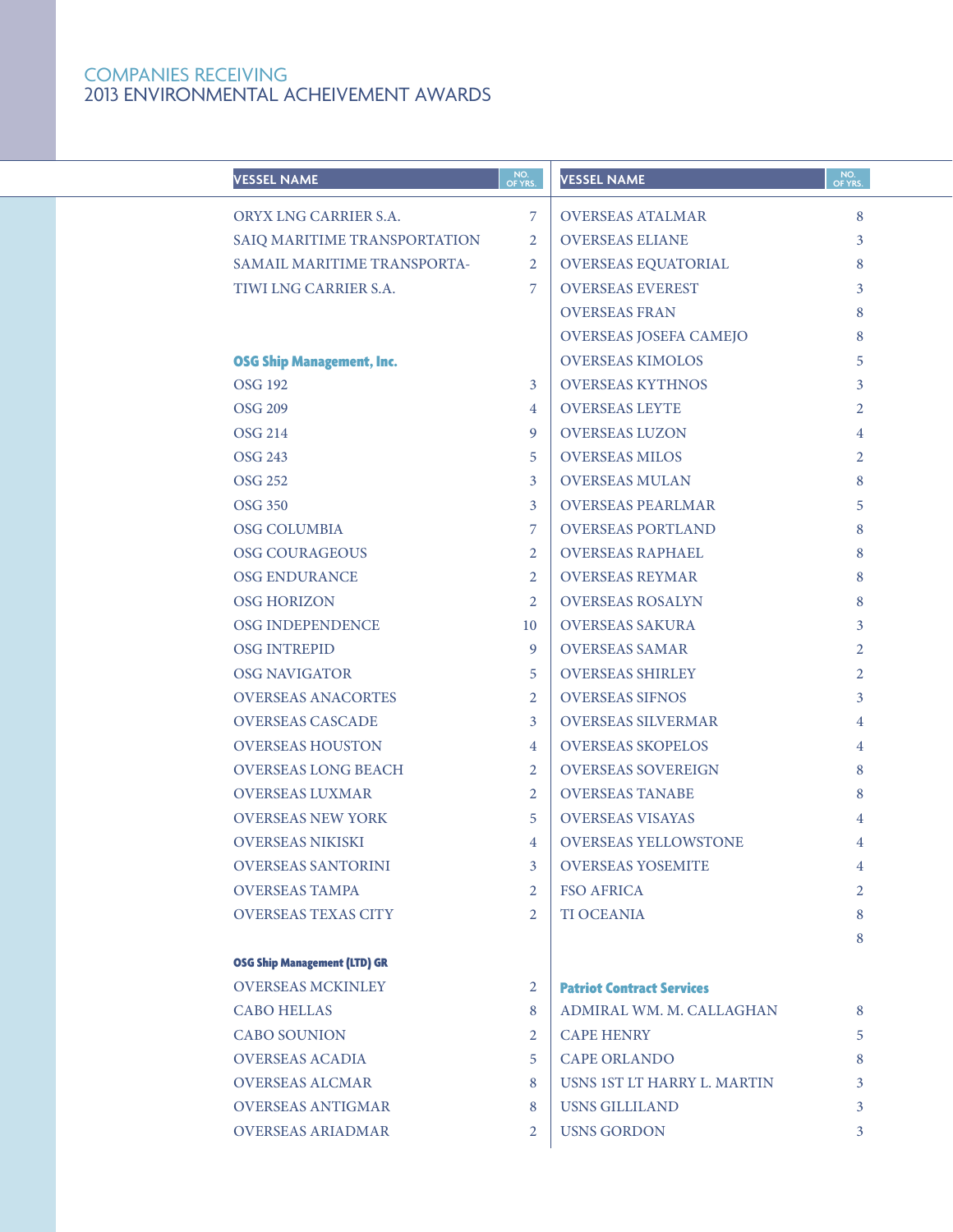| <b>VESSEL NAME</b>                  | NO.<br>OF YRS. | <b>VESSEL NAME</b>               | NO.<br>OF YRS. |  |
|-------------------------------------|----------------|----------------------------------|----------------|--|
| ORYX LNG CARRIER S.A.               | 7              | <b>OVERSEAS ATALMAR</b>          | 8              |  |
| SAIQ MARITIME TRANSPORTATION        | $\overline{2}$ | <b>OVERSEAS ELIANE</b>           | 3              |  |
| SAMAIL MARITIME TRANSPORTA-         | $\overline{2}$ | <b>OVERSEAS EQUATORIAL</b>       | 8              |  |
| TIWI LNG CARRIER S.A.               | $\overline{7}$ | <b>OVERSEAS EVEREST</b>          | 3              |  |
|                                     |                | <b>OVERSEAS FRAN</b>             | 8              |  |
|                                     |                | <b>OVERSEAS JOSEFA CAMEJO</b>    | 8              |  |
| <b>OSG Ship Management, Inc.</b>    |                | <b>OVERSEAS KIMOLOS</b>          | 5              |  |
| <b>OSG 192</b>                      | 3              | <b>OVERSEAS KYTHNOS</b>          | 3              |  |
| <b>OSG 209</b>                      | $\overline{4}$ | <b>OVERSEAS LEYTE</b>            | $\overline{2}$ |  |
| <b>OSG 214</b>                      | 9              | <b>OVERSEAS LUZON</b>            | $\overline{4}$ |  |
| <b>OSG 243</b>                      | 5              | <b>OVERSEAS MILOS</b>            | $\overline{2}$ |  |
| <b>OSG 252</b>                      | 3              | <b>OVERSEAS MULAN</b>            | 8              |  |
| <b>OSG 350</b>                      | 3              | <b>OVERSEAS PEARLMAR</b>         | 5              |  |
| <b>OSG COLUMBIA</b>                 | 7              | <b>OVERSEAS PORTLAND</b>         | 8              |  |
| <b>OSG COURAGEOUS</b>               | $\overline{2}$ | <b>OVERSEAS RAPHAEL</b>          | 8              |  |
| <b>OSG ENDURANCE</b>                | $\overline{2}$ | <b>OVERSEAS REYMAR</b>           | 8              |  |
| <b>OSG HORIZON</b>                  | $\overline{2}$ | <b>OVERSEAS ROSALYN</b>          | 8              |  |
| <b>OSG INDEPENDENCE</b>             | 10             | <b>OVERSEAS SAKURA</b>           | 3              |  |
| <b>OSG INTREPID</b>                 | 9              | <b>OVERSEAS SAMAR</b>            | $\overline{2}$ |  |
| <b>OSG NAVIGATOR</b>                | 5              | <b>OVERSEAS SHIRLEY</b>          | 2              |  |
| <b>OVERSEAS ANACORTES</b>           | $\overline{2}$ | <b>OVERSEAS SIFNOS</b>           | 3              |  |
| <b>OVERSEAS CASCADE</b>             | 3              | <b>OVERSEAS SILVERMAR</b>        | $\overline{4}$ |  |
| <b>OVERSEAS HOUSTON</b>             | $\overline{4}$ | <b>OVERSEAS SKOPELOS</b>         | 4              |  |
| <b>OVERSEAS LONG BEACH</b>          | $\overline{2}$ | <b>OVERSEAS SOVEREIGN</b>        | 8              |  |
| <b>OVERSEAS LUXMAR</b>              | $\overline{2}$ | <b>OVERSEAS TANABE</b>           | 8              |  |
| <b>OVERSEAS NEW YORK</b>            | 5              | <b>OVERSEAS VISAYAS</b>          | 4              |  |
| <b>OVERSEAS NIKISKI</b>             | $\overline{4}$ | <b>OVERSEAS YELLOWSTONE</b>      | 4              |  |
| <b>OVERSEAS SANTORINI</b>           | 3              | <b>OVERSEAS YOSEMITE</b>         | $\overline{4}$ |  |
| <b>OVERSEAS TAMPA</b>               | $\overline{2}$ | <b>FSO AFRICA</b>                | $\overline{2}$ |  |
| <b>OVERSEAS TEXAS CITY</b>          | $\overline{2}$ | <b>TI OCEANIA</b>                | 8              |  |
|                                     |                |                                  | 8              |  |
| <b>OSG Ship Management (LTD) GR</b> |                |                                  |                |  |
| <b>OVERSEAS MCKINLEY</b>            | 2              | <b>Patriot Contract Services</b> |                |  |
| <b>CABO HELLAS</b>                  | 8              | ADMIRAL WM. M. CALLAGHAN         | 8              |  |
| <b>CABO SOUNION</b>                 | 2              | <b>CAPE HENRY</b>                | 5              |  |
| <b>OVERSEAS ACADIA</b>              | 5              | <b>CAPE ORLANDO</b>              | 8              |  |
| <b>OVERSEAS ALCMAR</b>              | 8              | USNS 1ST LT HARRY L. MARTIN      | 3              |  |
| <b>OVERSEAS ANTIGMAR</b>            | 8              | <b>USNS GILLILAND</b>            | 3              |  |
| <b>OVERSEAS ARIADMAR</b>            | 2              | <b>USNS GORDON</b>               | 3              |  |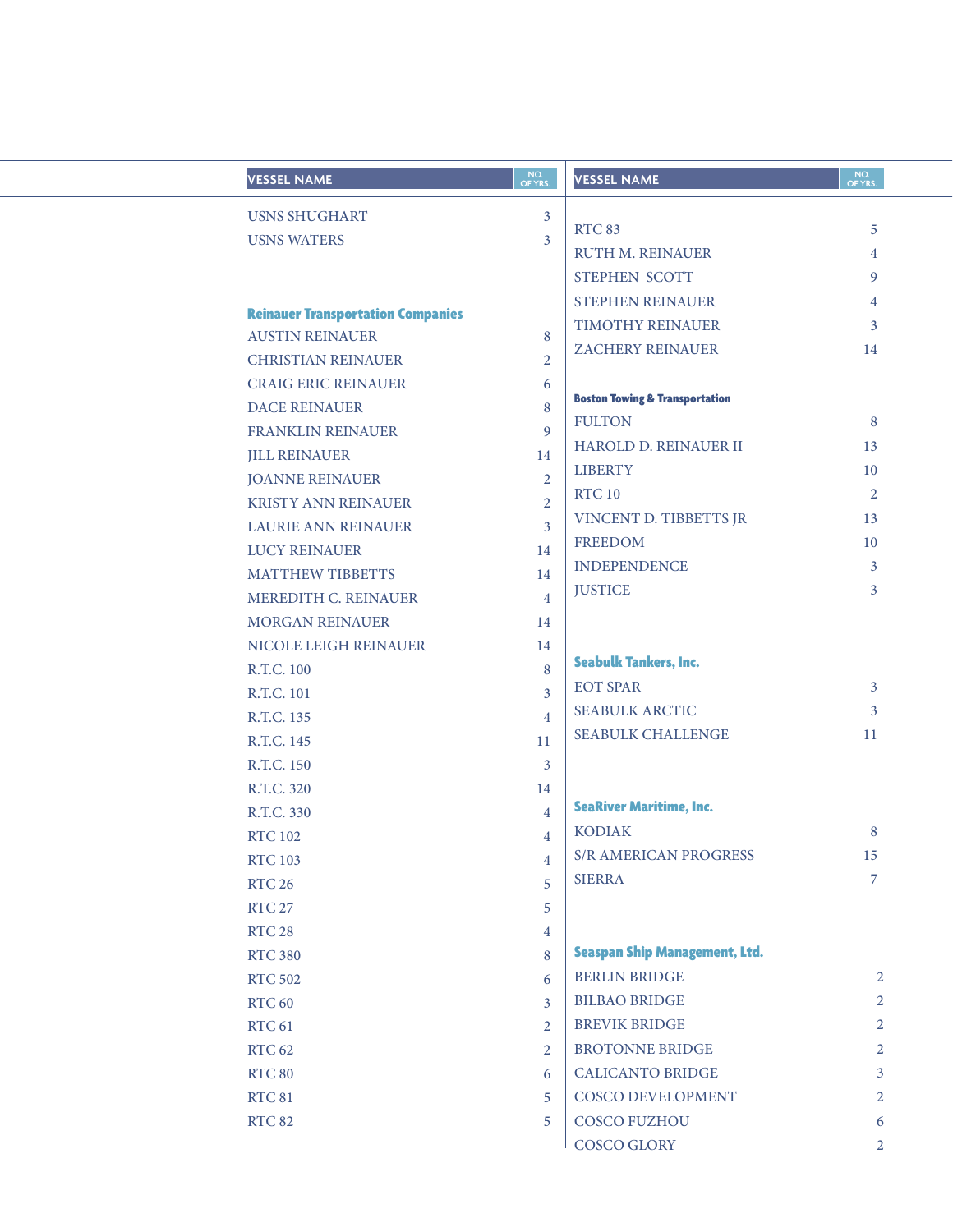| <b>VESSEL NAME</b>                       | NO.<br>OF YRS.<br><b>VESSEL NAME</b>             | NO.<br>OF YRS. |
|------------------------------------------|--------------------------------------------------|----------------|
| <b>USNS SHUGHART</b>                     | 3                                                |                |
| <b>USNS WATERS</b>                       | <b>RTC 83</b><br>3                               | 5              |
|                                          | <b>RUTH M. REINAUER</b>                          | $\overline{4}$ |
|                                          | STEPHEN SCOTT                                    | 9              |
| <b>Reinauer Transportation Companies</b> | STEPHEN REINAUER                                 | 4              |
| <b>AUSTIN REINAUER</b>                   | <b>TIMOTHY REINAUER</b><br>8                     | 3              |
| <b>CHRISTIAN REINAUER</b>                | <b>ZACHERY REINAUER</b><br>$\overline{2}$        | 14             |
| <b>CRAIG ERIC REINAUER</b>               | 6                                                |                |
| <b>DACE REINAUER</b>                     | <b>Boston Towing &amp; Transportation</b><br>8   |                |
| FRANKLIN REINAUER                        | <b>FULTON</b><br>9                               | 8              |
| <b>JILL REINAUER</b>                     | HAROLD D. REINAUER II<br>14                      | 13             |
| <b>JOANNE REINAUER</b>                   | <b>LIBERTY</b><br>$\overline{2}$                 | 10             |
| <b>KRISTY ANN REINAUER</b>               | <b>RTC 10</b><br>$\overline{2}$                  | 2              |
| <b>LAURIE ANN REINAUER</b>               | VINCENT D. TIBBETTS JR<br>3                      | 13             |
| <b>LUCY REINAUER</b>                     | <b>FREEDOM</b><br>14                             | 10             |
| <b>MATTHEW TIBBETTS</b>                  | <b>INDEPENDENCE</b><br>14                        | $\mathbf{3}$   |
| MEREDITH C. REINAUER                     | <b>JUSTICE</b><br>$\overline{4}$                 | 3              |
| <b>MORGAN REINAUER</b>                   | 14                                               |                |
| NICOLE LEIGH REINAUER                    | 14                                               |                |
| R.T.C. 100                               | <b>Seabulk Tankers, Inc.</b><br>8                |                |
| R.T.C. 101                               | <b>EOT SPAR</b><br>3                             | 3              |
| R.T.C. 135                               | <b>SEABULK ARCTIC</b><br>$\overline{4}$          | 3              |
| R.T.C. 145                               | SEABULK CHALLENGE<br>11                          | 11             |
| R.T.C. 150                               | 3                                                |                |
| R.T.C. 320                               | 14                                               |                |
| R.T.C. 330                               | <b>SeaRiver Maritime, Inc.</b><br>$\overline{4}$ |                |
| <b>RTC 102</b>                           | <b>KODIAK</b><br>$\overline{4}$                  | 8              |
| <b>RTC 103</b>                           | S/R AMERICAN PROGRESS<br>4                       | 15             |
| <b>RTC 26</b>                            | <b>SIERRA</b><br>5                               | $\overline{7}$ |
| <b>RTC 27</b>                            | 5                                                |                |
| <b>RTC 28</b>                            | 4                                                |                |
| <b>RTC 380</b>                           | <b>Seaspan Ship Management, Ltd.</b><br>8        |                |
| <b>RTC 502</b>                           | <b>BERLIN BRIDGE</b><br>6                        | $\overline{2}$ |
| <b>RTC 60</b>                            | <b>BILBAO BRIDGE</b><br>3                        | 2              |
| <b>RTC 61</b>                            | <b>BREVIK BRIDGE</b><br>2                        | $\overline{2}$ |
| <b>RTC 62</b>                            | <b>BROTONNE BRIDGE</b><br>2                      | $\overline{2}$ |
| <b>RTC 80</b>                            | <b>CALICANTO BRIDGE</b><br>6                     | $\mathfrak{Z}$ |
| <b>RTC 81</b>                            | COSCO DEVELOPMENT<br>5                           | 2              |
| <b>RTC 82</b>                            | COSCO FUZHOU<br>5                                | 6              |
|                                          | COSCO GLORY                                      | $\overline{2}$ |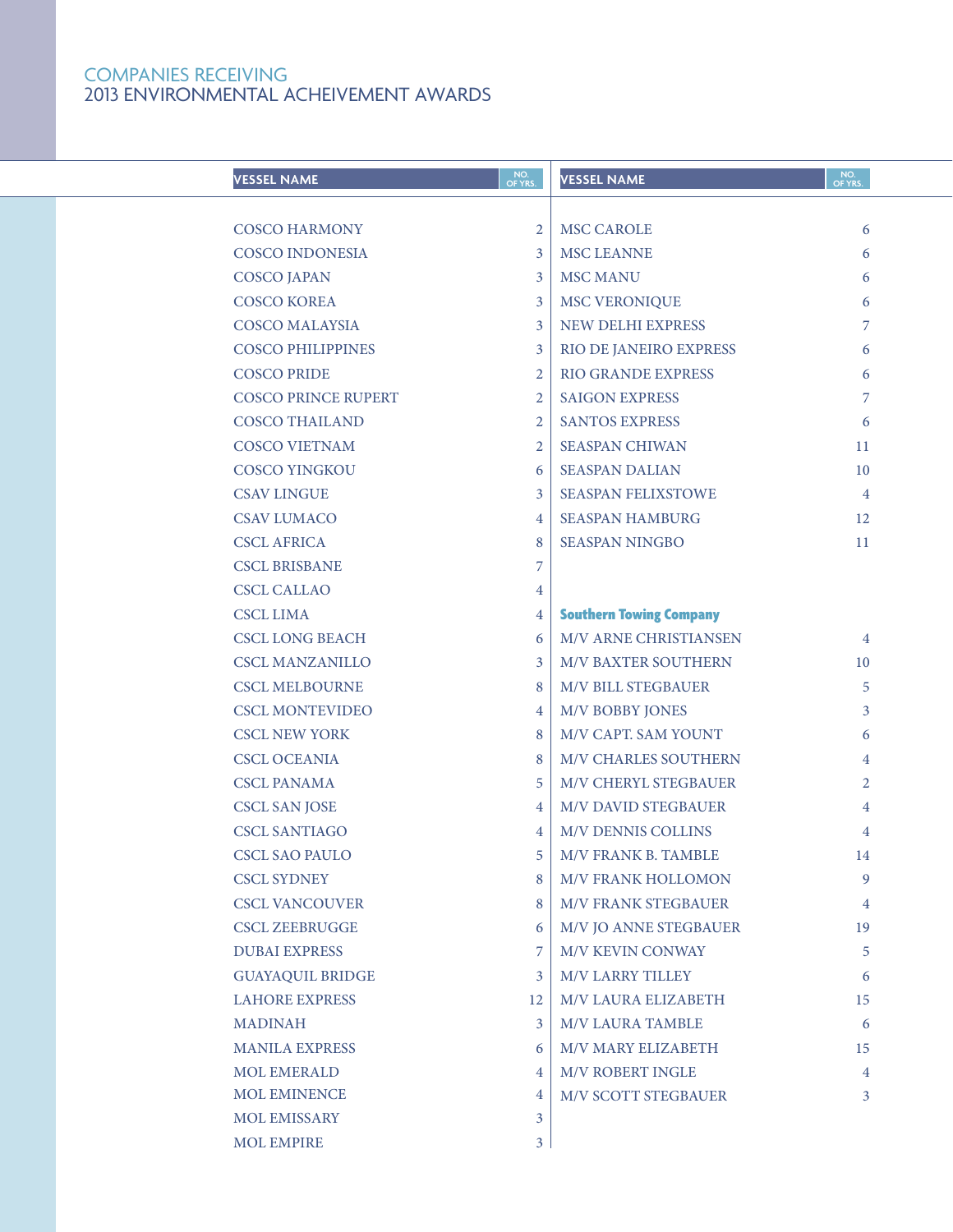| <b>VESSEL NAME</b>         | NO.<br>OF YRS. | <b>VESSEL NAME</b>             | NO.<br>OF YRS. |
|----------------------------|----------------|--------------------------------|----------------|
|                            |                |                                |                |
| <b>COSCO HARMONY</b>       | $\overline{2}$ | <b>MSC CAROLE</b>              | 6              |
| <b>COSCO INDONESIA</b>     | 3              | <b>MSC LEANNE</b>              | 6              |
| <b>COSCO JAPAN</b>         | 3              | <b>MSC MANU</b>                | 6              |
| <b>COSCO KOREA</b>         | 3              | <b>MSC VERONIQUE</b>           | 6              |
| <b>COSCO MALAYSIA</b>      | 3              | NEW DELHI EXPRESS              | 7              |
| <b>COSCO PHILIPPINES</b>   | 3              | RIO DE JANEIRO EXPRESS         | 6              |
| <b>COSCO PRIDE</b>         | $\overline{2}$ | <b>RIO GRANDE EXPRESS</b>      | 6              |
| <b>COSCO PRINCE RUPERT</b> | 2              | <b>SAIGON EXPRESS</b>          | 7              |
| <b>COSCO THAILAND</b>      | 2              | <b>SANTOS EXPRESS</b>          | 6              |
| <b>COSCO VIETNAM</b>       | 2              | <b>SEASPAN CHIWAN</b>          | 11             |
| <b>COSCO YINGKOU</b>       | 6              | <b>SEASPAN DALIAN</b>          | 10             |
| <b>CSAV LINGUE</b>         | 3              | <b>SEASPAN FELIXSTOWE</b>      | $\overline{4}$ |
| <b>CSAV LUMACO</b>         | 4              | <b>SEASPAN HAMBURG</b>         | 12             |
| <b>CSCL AFRICA</b>         | 8              | <b>SEASPAN NINGBO</b>          | 11             |
| <b>CSCL BRISBANE</b>       | 7              |                                |                |
| <b>CSCL CALLAO</b>         | 4              |                                |                |
| <b>CSCL LIMA</b>           | 4              | <b>Southern Towing Company</b> |                |
| <b>CSCL LONG BEACH</b>     | 6              | M/V ARNE CHRISTIANSEN          | $\overline{4}$ |
| <b>CSCL MANZANILLO</b>     | 3              | <b>M/V BAXTER SOUTHERN</b>     | 10             |
| <b>CSCL MELBOURNE</b>      | 8              | <b>M/V BILL STEGBAUER</b>      | 5              |
| <b>CSCL MONTEVIDEO</b>     | 4              | <b>M/V BOBBY JONES</b>         | 3              |
| <b>CSCL NEW YORK</b>       | 8              | M/V CAPT. SAM YOUNT            | 6              |
| <b>CSCL OCEANIA</b>        | 8              | M/V CHARLES SOUTHERN           | 4              |
| <b>CSCL PANAMA</b>         | 5              | <b>M/V CHERYL STEGBAUER</b>    | 2              |
| <b>CSCL SAN JOSE</b>       | 4              | <b>M/V DAVID STEGBAUER</b>     | 4              |
| <b>CSCL SANTIAGO</b>       | 4              | <b>M/V DENNIS COLLINS</b>      | $\overline{4}$ |
| <b>CSCL SAO PAULO</b>      | 5              | <b>M/V FRANK B. TAMBLE</b>     | 14             |
| <b>CSCL SYDNEY</b>         | 8              | <b>M/V FRANK HOLLOMON</b>      | 9              |
| <b>CSCL VANCOUVER</b>      | 8              | <b>M/V FRANK STEGBAUER</b>     | 4              |
| <b>CSCL ZEEBRUGGE</b>      | 6              | <b>M/V JO ANNE STEGBAUER</b>   | 19             |
| <b>DUBAI EXPRESS</b>       | 7              | <b>M/V KEVIN CONWAY</b>        | 5              |
| <b>GUAYAQUIL BRIDGE</b>    | 3              | <b>M/V LARRY TILLEY</b>        | 6              |
| <b>LAHORE EXPRESS</b>      | 12             | <b>M/V LAURA ELIZABETH</b>     | 15             |
| <b>MADINAH</b>             | 3              | <b>M/V LAURA TAMBLE</b>        | 6              |
| <b>MANILA EXPRESS</b>      | 6              | M/V MARY ELIZABETH             | 15             |
| <b>MOL EMERALD</b>         | 4              | <b>M/V ROBERT INGLE</b>        | 4              |
| <b>MOL EMINENCE</b>        | 4              | <b>M/V SCOTT STEGBAUER</b>     | 3              |
| <b>MOL EMISSARY</b>        | 3              |                                |                |
| <b>MOL EMPIRE</b>          | 3 <sup>7</sup> |                                |                |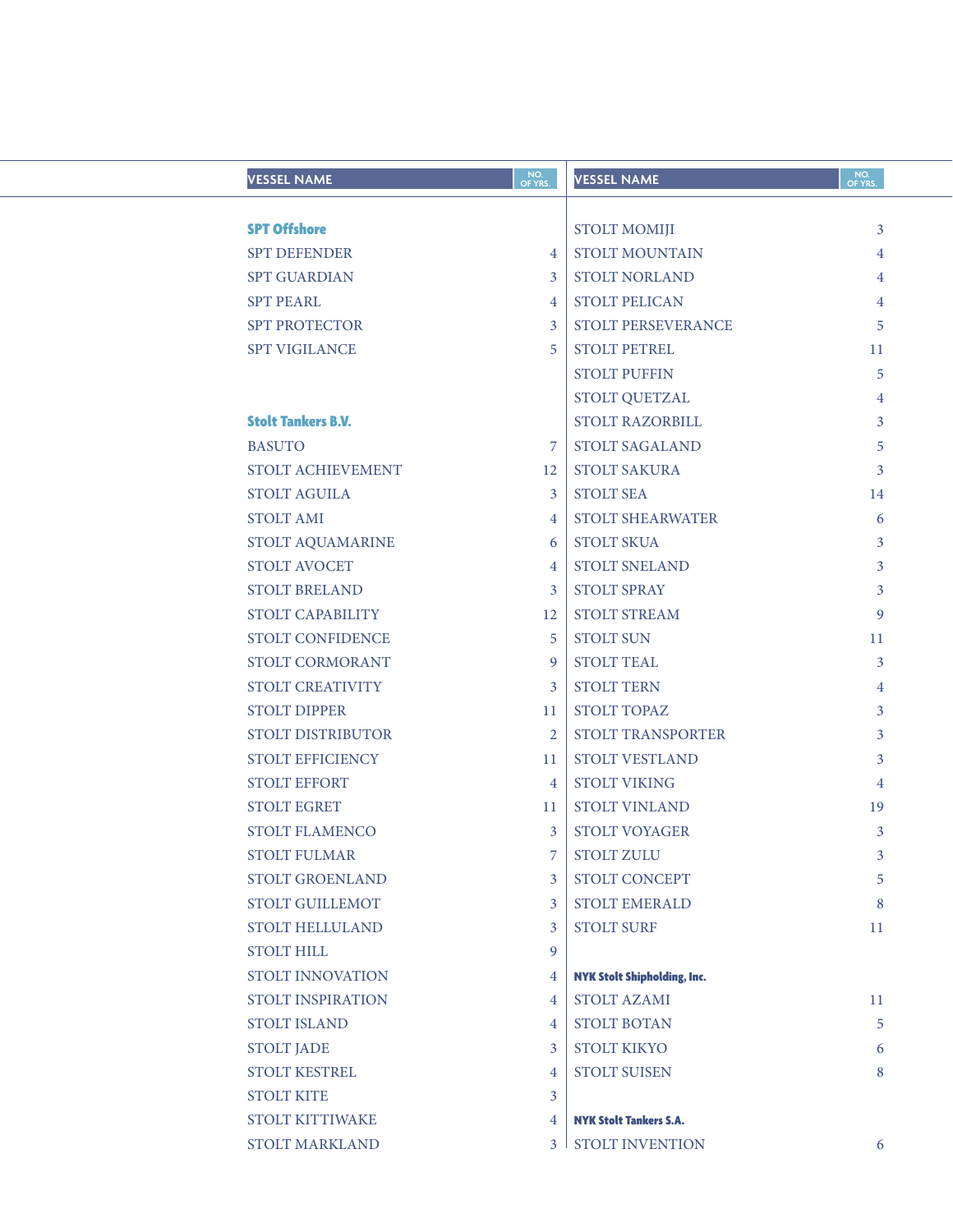| <b>VESSEL NAME</b>        | NO.<br>OF YRS. | <b>VESSEL NAME</b>                 | NO.<br>OF YRS. |
|---------------------------|----------------|------------------------------------|----------------|
|                           |                |                                    |                |
| <b>SPT Offshore</b>       |                | <b>STOLT MOMIJI</b>                | $\mathfrak{Z}$ |
| <b>SPT DEFENDER</b>       | $\overline{4}$ | <b>STOLT MOUNTAIN</b>              | $\overline{4}$ |
| <b>SPT GUARDIAN</b>       | 3              | <b>STOLT NORLAND</b>               | 4              |
| <b>SPT PEARL</b>          | 4              | <b>STOLT PELICAN</b>               | $\overline{4}$ |
| <b>SPT PROTECTOR</b>      | 3              | <b>STOLT PERSEVERANCE</b>          | 5              |
| <b>SPT VIGILANCE</b>      | 5              | <b>STOLT PETREL</b>                | 11             |
|                           |                | <b>STOLT PUFFIN</b>                | 5              |
|                           |                | STOLT QUETZAL                      | $\overline{4}$ |
| <b>Stolt Tankers B.V.</b> |                | STOLT RAZORBILL                    | 3              |
| <b>BASUTO</b>             | 7              | <b>STOLT SAGALAND</b>              | 5              |
| STOLT ACHIEVEMENT         | 12             | <b>STOLT SAKURA</b>                | 3              |
| <b>STOLT AGUILA</b>       | 3              | <b>STOLT SEA</b>                   | 14             |
| <b>STOLT AMI</b>          | $\overline{4}$ | <b>STOLT SHEARWATER</b>            | 6              |
| STOLT AQUAMARINE          | 6              | <b>STOLT SKUA</b>                  | 3              |
| STOLT AVOCET              | $\overline{4}$ | <b>STOLT SNELAND</b>               | $\mathfrak{Z}$ |
| <b>STOLT BRELAND</b>      | 3              | <b>STOLT SPRAY</b>                 | 3              |
| <b>STOLT CAPABILITY</b>   | 12             | <b>STOLT STREAM</b>                | 9              |
| <b>STOLT CONFIDENCE</b>   | 5              | <b>STOLT SUN</b>                   | 11             |
| STOLT CORMORANT           | 9              | <b>STOLT TEAL</b>                  | 3              |
| STOLT CREATIVITY          | 3              | <b>STOLT TERN</b>                  | $\overline{4}$ |
| <b>STOLT DIPPER</b>       | 11             | <b>STOLT TOPAZ</b>                 | 3              |
| <b>STOLT DISTRIBUTOR</b>  | 2              | <b>STOLT TRANSPORTER</b>           | 3              |
| STOLT EFFICIENCY          | 11             | <b>STOLT VESTLAND</b>              | 3              |
| <b>STOLT EFFORT</b>       | $\overline{4}$ | <b>STOLT VIKING</b>                | $\overline{4}$ |
| <b>STOLT EGRET</b>        | 11             | <b>STOLT VINLAND</b>               | 19             |
| <b>STOLT FLAMENCO</b>     | 3              | <b>STOLT VOYAGER</b>               | 3              |
| <b>STOLT FULMAR</b>       |                | <b>STOLT ZULU</b>                  | 3              |
| STOLT GROENLAND           | 3              | STOLT CONCEPT                      | 5              |
| STOLT GUILLEMOT           | 3              | <b>STOLT EMERALD</b>               | 8              |
| <b>STOLT HELLULAND</b>    | 3              | <b>STOLT SURF</b>                  | 11             |
| <b>STOLT HILL</b>         | 9              |                                    |                |
| STOLT INNOVATION          | 4              | <b>NYK Stolt Shipholding, Inc.</b> |                |
| <b>STOLT INSPIRATION</b>  | 4              | <b>STOLT AZAMI</b>                 | 11             |
| <b>STOLT ISLAND</b>       | 4              | <b>STOLT BOTAN</b>                 | 5              |
| <b>STOLT JADE</b>         | 3              | STOLT KIKYO                        | 6              |
| STOLT KESTREL             | $\overline{4}$ | <b>STOLT SUISEN</b>                | 8              |
| <b>STOLT KITE</b>         | 3              |                                    |                |
| <b>STOLT KITTIWAKE</b>    | 4              | <b>NYK Stolt Tankers S.A.</b>      |                |
| <b>STOLT MARKLAND</b>     | 3 <sup>1</sup> | <b>STOLT INVENTION</b>             | 6              |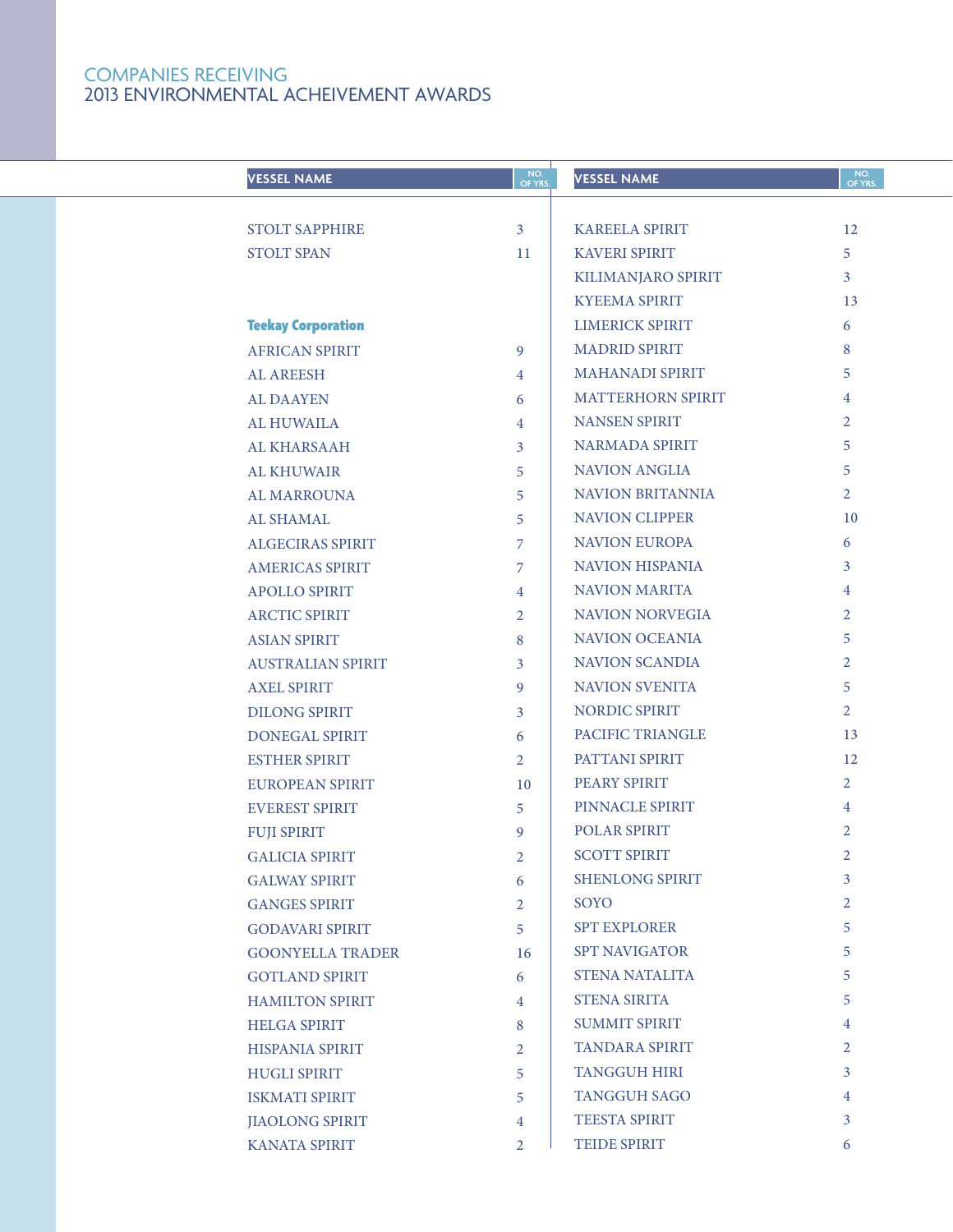|  | <b>VESSEL NAME</b>        | NO.<br>OF YRS. | <b>VESSEL NAME</b>       | NO.<br>OF YRS. |
|--|---------------------------|----------------|--------------------------|----------------|
|  |                           |                |                          |                |
|  | <b>STOLT SAPPHIRE</b>     | 3 <sup>1</sup> | <b>KAREELA SPIRIT</b>    | 12             |
|  | <b>STOLT SPAN</b>         | 11             | <b>KAVERI SPIRIT</b>     | 5              |
|  |                           |                | KILIMANJARO SPIRIT       | $\mathbf{3}$   |
|  |                           |                | <b>KYEEMA SPIRIT</b>     | 13             |
|  | <b>Teekay Corporation</b> |                | <b>LIMERICK SPIRIT</b>   | 6              |
|  | <b>AFRICAN SPIRIT</b>     | 9              | <b>MADRID SPIRIT</b>     | 8              |
|  | AL AREESH                 | $\overline{4}$ | <b>MAHANADI SPIRIT</b>   | 5              |
|  | <b>AL DAAYEN</b>          | 6              | <b>MATTERHORN SPIRIT</b> | $\overline{4}$ |
|  | <b>AL HUWAILA</b>         | $\overline{4}$ | <b>NANSEN SPIRIT</b>     | $\overline{2}$ |
|  | AL KHARSAAH               | 3              | <b>NARMADA SPIRIT</b>    | 5              |
|  | <b>AL KHUWAIR</b>         | 5              | <b>NAVION ANGLIA</b>     | 5              |
|  | AL MARROUNA               | 5              | <b>NAVION BRITANNIA</b>  | $\overline{2}$ |
|  | AL SHAMAL                 | 5              | <b>NAVION CLIPPER</b>    | 10             |
|  | <b>ALGECIRAS SPIRIT</b>   | 7              | <b>NAVION EUROPA</b>     | 6              |
|  | <b>AMERICAS SPIRIT</b>    | $\overline{7}$ | <b>NAVION HISPANIA</b>   | 3              |
|  | <b>APOLLO SPIRIT</b>      | $\overline{4}$ | <b>NAVION MARITA</b>     | $\overline{4}$ |
|  | <b>ARCTIC SPIRIT</b>      | $\overline{2}$ | <b>NAVION NORVEGIA</b>   | $\overline{2}$ |
|  | <b>ASIAN SPIRIT</b>       | 8              | <b>NAVION OCEANIA</b>    | 5              |
|  | <b>AUSTRALIAN SPIRIT</b>  | 3              | <b>NAVION SCANDIA</b>    | $\overline{2}$ |
|  | <b>AXEL SPIRIT</b>        | 9              | <b>NAVION SVENITA</b>    | 5              |
|  | <b>DILONG SPIRIT</b>      | 3              | NORDIC SPIRIT            | $\overline{2}$ |
|  | DONEGAL SPIRIT            | 6              | PACIFIC TRIANGLE         | 13             |
|  | <b>ESTHER SPIRIT</b>      | $\overline{2}$ | PATTANI SPIRIT           | 12             |
|  | <b>EUROPEAN SPIRIT</b>    | 10             | PEARY SPIRIT             | $\overline{2}$ |
|  | <b>EVEREST SPIRIT</b>     | 5              | PINNACLE SPIRIT          | $\overline{4}$ |
|  | <b>FUJI SPIRIT</b>        | 9              | POLAR SPIRIT             | $\overline{2}$ |
|  | <b>GALICIA SPIRIT</b>     | $\overline{2}$ | <b>SCOTT SPIRIT</b>      | $\overline{2}$ |
|  | <b>GALWAY SPIRIT</b>      | 6              | <b>SHENLONG SPIRIT</b>   | 3              |
|  | <b>GANGES SPIRIT</b>      | $\overline{2}$ | <b>SOYO</b>              | 2              |
|  | <b>GODAVARI SPIRIT</b>    | 5              | <b>SPT EXPLORER</b>      | 5              |
|  | <b>GOONYELLA TRADER</b>   | 16             | <b>SPT NAVIGATOR</b>     | 5              |
|  | <b>GOTLAND SPIRIT</b>     | 6              | <b>STENA NATALITA</b>    | 5              |
|  | <b>HAMILTON SPIRIT</b>    | 4              | <b>STENA SIRITA</b>      | 5              |
|  | <b>HELGA SPIRIT</b>       | 8              | <b>SUMMIT SPIRIT</b>     | 4              |
|  | <b>HISPANIA SPIRIT</b>    | $\overline{2}$ | <b>TANDARA SPIRIT</b>    | 2              |
|  | <b>HUGLI SPIRIT</b>       | 5              | <b>TANGGUH HIRI</b>      | 3              |
|  | <b>ISKMATI SPIRIT</b>     | 5              | <b>TANGGUH SAGO</b>      | 4              |
|  | <b>JIAOLONG SPIRIT</b>    | 4              | <b>TEESTA SPIRIT</b>     | 3              |
|  | <b>KANATA SPIRIT</b>      | $\overline{2}$ | <b>TEIDE SPIRIT</b>      | 6              |